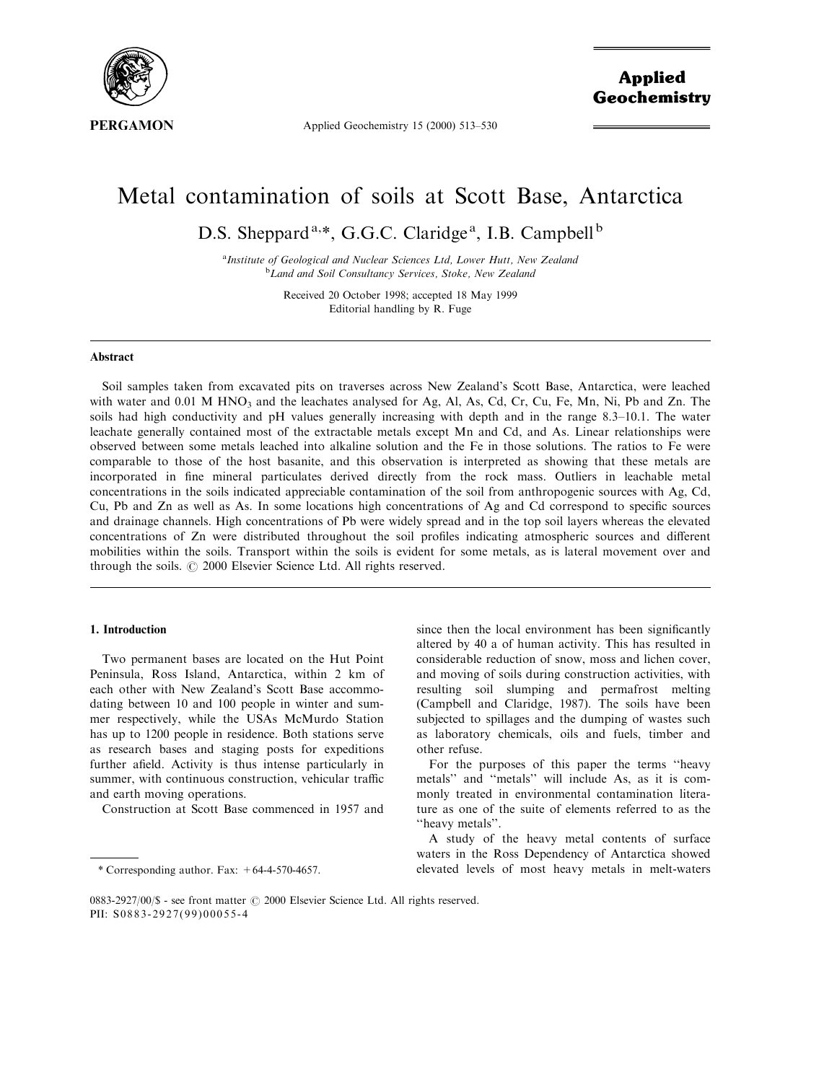

Applied Geochemistry 15 (2000) 513-530

# Metal contamination of soils at Scott Base, Antarctica

D.S. Sheppard<sup>a,\*</sup>, G.G.C. Claridge<sup>a</sup>, I.B. Campbell<sup>b</sup>

<sup>a</sup> Institute of Geological and Nuclear Sciences Ltd, Lower Hutt, New Zealand<br><sup>b</sup> Land and Soil Consultancy Services, Stake, New Zealand <sup>b</sup>Land and Soil Consultancy Services, Stoke, New Zealand

> Received 20 October 1998; accepted 18 May 1999 Editorial handling by R. Fuge

## Abstract

Soil samples taken from excavated pits on traverses across New Zealand's Scott Base, Antarctica, were leached with water and 0.01 M HNO<sub>3</sub> and the leachates analysed for Ag, Al, As, Cd, Cr, Cu, Fe, Mn, Ni, Pb and Zn. The soils had high conductivity and pH values generally increasing with depth and in the range 8.3–10.1. The water leachate generally contained most of the extractable metals except Mn and Cd, and As. Linear relationships were observed between some metals leached into alkaline solution and the Fe in those solutions. The ratios to Fe were comparable to those of the host basanite, and this observation is interpreted as showing that these metals are incorporated in fine mineral particulates derived directly from the rock mass. Outliers in leachable metal concentrations in the soils indicated appreciable contamination of the soil from anthropogenic sources with Ag, Cd, Cu, Pb and Zn as well as As. In some locations high concentrations of Ag and Cd correspond to specific sources and drainage channels. High concentrations of Pb were widely spread and in the top soil layers whereas the elevated concentrations of Zn were distributed throughout the soil profiles indicating atmospheric sources and different mobilities within the soils. Transport within the soils is evident for some metals, as is lateral movement over and through the soils.  $\odot$  2000 Elsevier Science Ltd. All rights reserved.

# 1. Introduction

Two permanent bases are located on the Hut Point Peninsula, Ross Island, Antarctica, within 2 km of each other with New Zealand's Scott Base accommodating between 10 and 100 people in winter and summer respectively, while the USAs McMurdo Station has up to 1200 people in residence. Both stations serve as research bases and staging posts for expeditions further afield. Activity is thus intense particularly in summer, with continuous construction, vehicular traffic and earth moving operations.

Construction at Scott Base commenced in 1957 and

since then the local environment has been significantly altered by 40 a of human activity. This has resulted in considerable reduction of snow, moss and lichen cover, and moving of soils during construction activities, with resulting soil slumping and permafrost melting (Campbell and Claridge, 1987). The soils have been subjected to spillages and the dumping of wastes such as laboratory chemicals, oils and fuels, timber and other refuse.

For the purposes of this paper the terms "heavy" metals" and "metals" will include As, as it is commonly treated in environmental contamination literature as one of the suite of elements referred to as the ``heavy metals''.

A study of the heavy metal contents of surface waters in the Ross Dependency of Antarctica showed elevated levels of most heavy metals in melt-waters

<sup>\*</sup> Corresponding author. Fax:  $+64-4-570-4657$ .

<sup>0883-2927/00/\$ -</sup> see front matter © 2000 Elsevier Science Ltd. All rights reserved. PII: S0883-2927(99)00055-4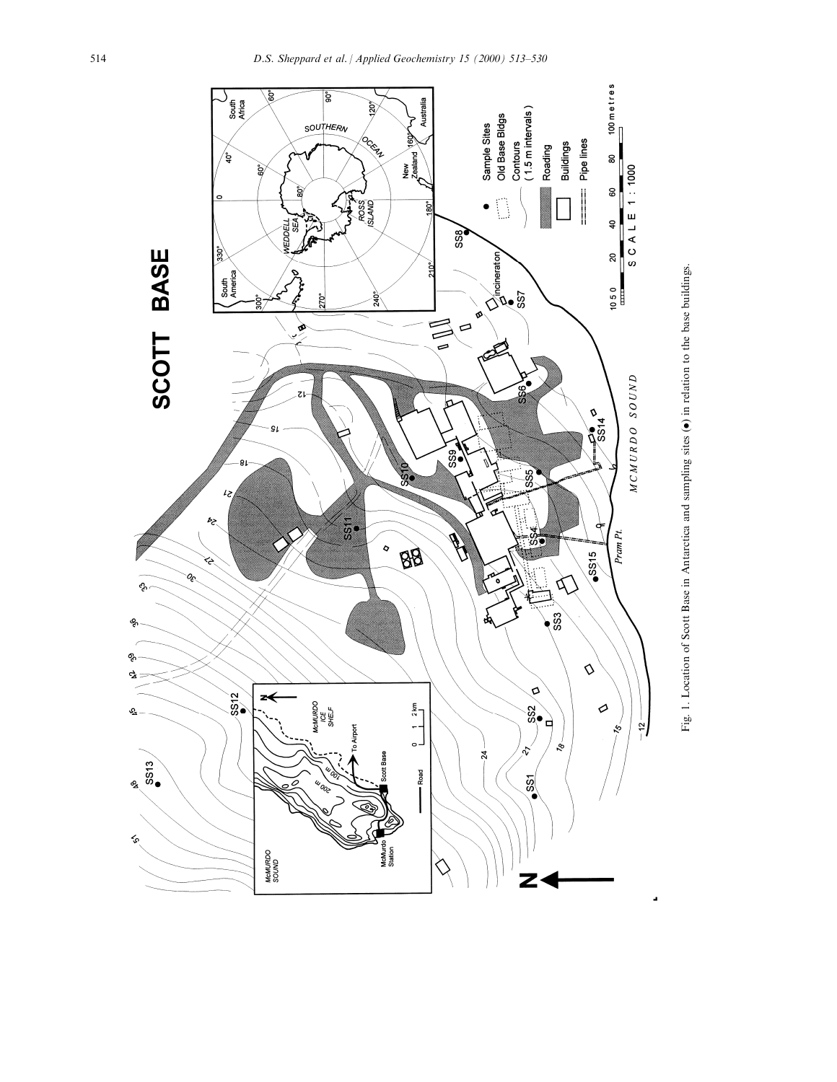

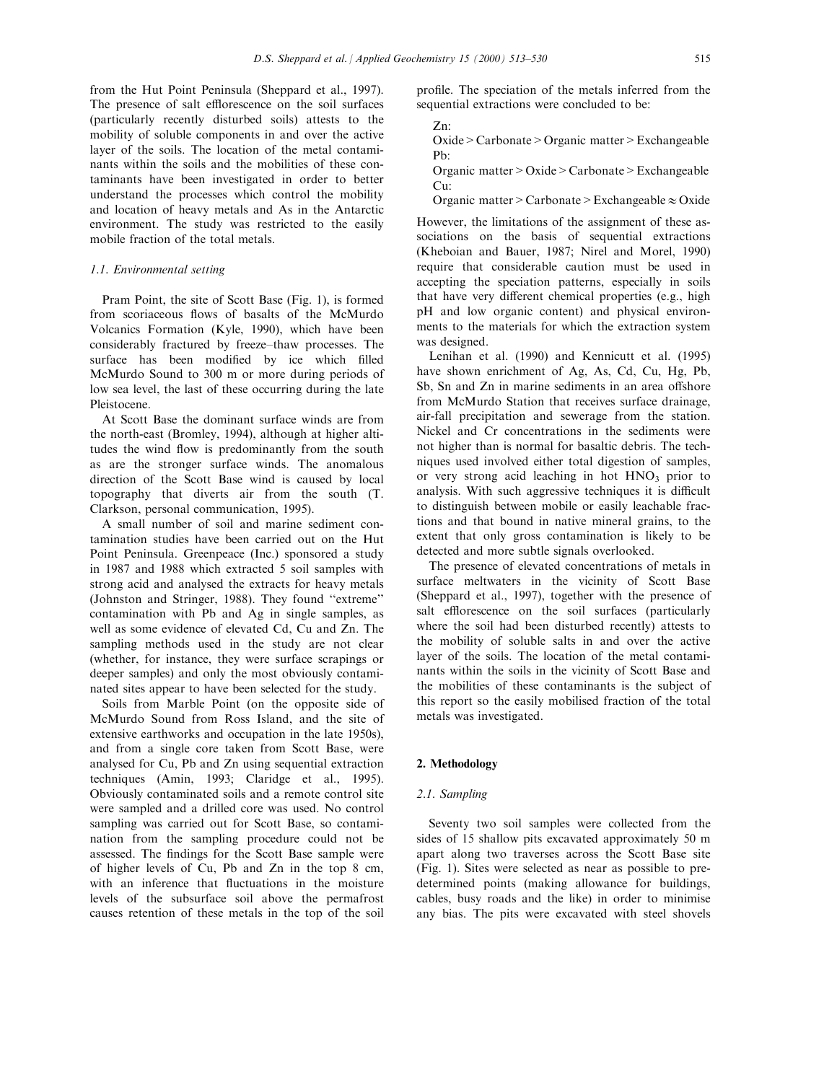from the Hut Point Peninsula (Sheppard et al., 1997). The presence of salt efflorescence on the soil surfaces (particularly recently disturbed soils) attests to the mobility of soluble components in and over the active layer of the soils. The location of the metal contaminants within the soils and the mobilities of these contaminants have been investigated in order to better understand the processes which control the mobility and location of heavy metals and As in the Antarctic environment. The study was restricted to the easily mobile fraction of the total metals.

#### 1.1. Environmental setting

Pram Point, the site of Scott Base (Fig. 1), is formed from scoriaceous flows of basalts of the McMurdo Volcanics Formation (Kyle, 1990), which have been considerably fractured by freeze-thaw processes. The surface has been modified by ice which filled McMurdo Sound to 300 m or more during periods of low sea level, the last of these occurring during the late Pleistocene.

At Scott Base the dominant surface winds are from the north-east (Bromley, 1994), although at higher altitudes the wind flow is predominantly from the south as are the stronger surface winds. The anomalous direction of the Scott Base wind is caused by local topography that diverts air from the south (T. Clarkson, personal communication, 1995).

A small number of soil and marine sediment contamination studies have been carried out on the Hut Point Peninsula. Greenpeace (Inc.) sponsored a study in 1987 and 1988 which extracted 5 soil samples with strong acid and analysed the extracts for heavy metals (Johnston and Stringer, 1988). They found "extreme" contamination with Pb and Ag in single samples, as well as some evidence of elevated Cd, Cu and Zn. The sampling methods used in the study are not clear (whether, for instance, they were surface scrapings or deeper samples) and only the most obviously contaminated sites appear to have been selected for the study.

Soils from Marble Point (on the opposite side of McMurdo Sound from Ross Island, and the site of extensive earthworks and occupation in the late 1950s), and from a single core taken from Scott Base, were analysed for Cu, Pb and Zn using sequential extraction techniques (Amin, 1993; Claridge et al., 1995). Obviously contaminated soils and a remote control site were sampled and a drilled core was used. No control sampling was carried out for Scott Base, so contamination from the sampling procedure could not be assessed. The findings for the Scott Base sample were of higher levels of Cu, Pb and Zn in the top 8 cm, with an inference that fluctuations in the moisture levels of the subsurface soil above the permafrost causes retention of these metals in the top of the soil profile. The speciation of the metals inferred from the sequential extractions were concluded to be:

Zn:

Oxide>Carbonate>Organic matter>Exchangeable Pb:

Organic matter>Oxide>Carbonate>Exchangeable Cu:

Organic matter > Carbonate > Exchangeable  $\approx$  Oxide

However, the limitations of the assignment of these associations on the basis of sequential extractions (Kheboian and Bauer, 1987; Nirel and Morel, 1990) require that considerable caution must be used in accepting the speciation patterns, especially in soils that have very different chemical properties (e.g., high pH and low organic content) and physical environments to the materials for which the extraction system was designed.

Lenihan et al. (1990) and Kennicutt et al. (1995) have shown enrichment of Ag, As, Cd, Cu, Hg, Pb, Sb, Sn and Zn in marine sediments in an area offshore from McMurdo Station that receives surface drainage, air-fall precipitation and sewerage from the station. Nickel and Cr concentrations in the sediments were not higher than is normal for basaltic debris. The techniques used involved either total digestion of samples, or very strong acid leaching in hot  $HNO<sub>3</sub>$  prior to analysis. With such aggressive techniques it is difficult to distinguish between mobile or easily leachable fractions and that bound in native mineral grains, to the extent that only gross contamination is likely to be detected and more subtle signals overlooked.

The presence of elevated concentrations of metals in surface meltwaters in the vicinity of Scott Base (Sheppard et al., 1997), together with the presence of salt efflorescence on the soil surfaces (particularly where the soil had been disturbed recently) attests to the mobility of soluble salts in and over the active layer of the soils. The location of the metal contaminants within the soils in the vicinity of Scott Base and the mobilities of these contaminants is the subject of this report so the easily mobilised fraction of the total metals was investigated.

# 2. Methodology

## 2.1. Sampling

Seventy two soil samples were collected from the sides of 15 shallow pits excavated approximately 50 m apart along two traverses across the Scott Base site (Fig. 1). Sites were selected as near as possible to predetermined points (making allowance for buildings, cables, busy roads and the like) in order to minimise any bias. The pits were excavated with steel shovels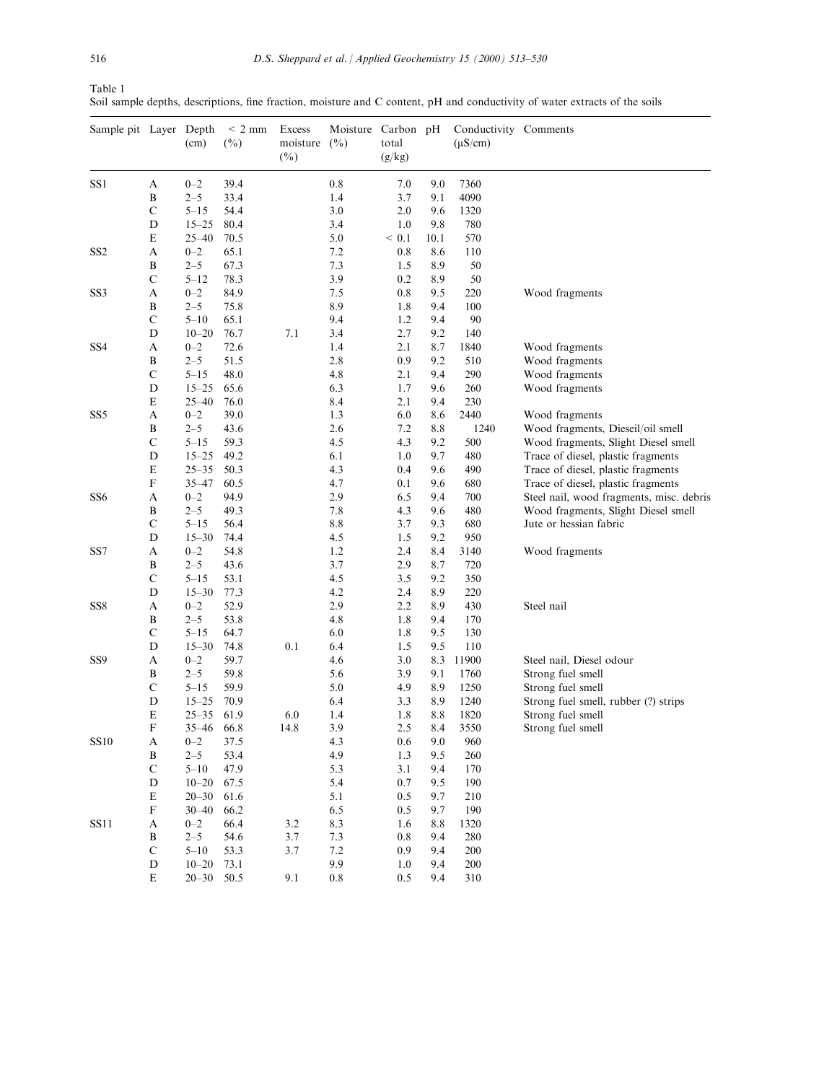| Table 1                                                                                                                     |  |  |  |  |  |
|-----------------------------------------------------------------------------------------------------------------------------|--|--|--|--|--|
| Soil sample depths, descriptions, fine fraction, moisture and C content, pH and conductivity of water extracts of the soils |  |  |  |  |  |

| Sample pit Layer Depth |                           | (cm)                  | $\leq$ 2 mm<br>$(\%)$ | Excess<br>moisture<br>$(\%)$ | Moisture Carbon pH<br>(%) | total<br>(g/kg) |            | Conductivity Comments<br>$(\mu S/cm)$ |                                          |
|------------------------|---------------------------|-----------------------|-----------------------|------------------------------|---------------------------|-----------------|------------|---------------------------------------|------------------------------------------|
| SS1                    | A                         | $0 - 2$               | 39.4                  |                              | 0.8                       | 7.0             | 9.0        | 7360                                  |                                          |
|                        | B                         | $2 - 5$               | 33.4                  |                              | 1.4                       | 3.7             | 9.1        | 4090                                  |                                          |
|                        | $\mathcal{C}$             | $5 - 15$              | 54.4                  |                              | 3.0                       | 2.0             | 9.6        | 1320                                  |                                          |
|                        | D                         | $15 - 25$             | 80.4                  |                              | 3.4                       | 1.0             | 9.8        | 780                                   |                                          |
|                        | ${\bf E}$                 | $25 - 40$             | 70.5                  |                              | 5.0                       | < 0.1           | 10.1       | 570                                   |                                          |
| SS2                    | A                         | $0 - 2$               | 65.1                  |                              | 7.2                       | 0.8             | 8.6        | 110                                   |                                          |
|                        | B                         | $2 - 5$               | 67.3                  |                              | 7.3                       | 1.5             | 8.9        | 50                                    |                                          |
|                        | $\mathbf C$               | $5 - 12$              | 78.3                  |                              | 3.9                       | 0.2             | 8.9        | 50                                    |                                          |
| SS3                    | А                         | $0 - 2$               | 84.9                  |                              | 7.5                       | 0.8             | 9.5        | 220                                   | Wood fragments                           |
|                        | B                         | $2 - 5$               | 75.8                  |                              | 8.9                       | 1.8             | 9.4        | 100                                   |                                          |
|                        | $\mathcal{C}$             | $5 - 10$              | 65.1                  |                              | 9.4                       | 1.2             | 9.4        | 90                                    |                                          |
| SS4                    | D<br>A                    | $10 - 20$<br>$0 - 2$  | 76.7<br>72.6          | 7.1                          | 3.4<br>1.4                | 2.7<br>2.1      | 9.2<br>8.7 | 140<br>1840                           | Wood fragments                           |
|                        | B                         | $2 - 5$               | 51.5                  |                              | 2.8                       | 0.9             | 9.2        | 510                                   | Wood fragments                           |
|                        | $\mathbf C$               | $5 - 15$              | 48.0                  |                              | 4.8                       | 2.1             | 9.4        | 290                                   | Wood fragments                           |
|                        | D                         | $15 - 25$             | 65.6                  |                              | 6.3                       | 1.7             | 9.6        | 260                                   | Wood fragments                           |
|                        | E                         | $25 - 40$             | 76.0                  |                              | 8.4                       | 2.1             | 9.4        | 230                                   |                                          |
| SS5                    | А                         | $0 - 2$               | 39.0                  |                              | 1.3                       | 6.0             | 8.6        | 2440                                  | Wood fragments                           |
|                        | B                         | $2 - 5$               | 43.6                  |                              | 2.6                       | 7.2             | 8.8        | 1240                                  | Wood fragments, Dieseil/oil smell        |
|                        | $\mathbf C$               | $5 - 15$              | 59.3                  |                              | 4.5                       | 4.3             | 9.2        | 500                                   | Wood fragments, Slight Diesel smell      |
|                        | D                         | $15 - 25$             | 49.2                  |                              | 6.1                       | 1.0             | 9.7        | 480                                   | Trace of diesel, plastic fragments       |
|                        | E                         | $25 - 35$             | 50.3                  |                              | 4.3                       | 0.4             | 9.6        | 490                                   | Trace of diesel, plastic fragments       |
|                        | $\boldsymbol{\mathrm{F}}$ | $35 - 47$             | 60.5                  |                              | 4.7                       | 0.1             | 9.6        | 680                                   | Trace of diesel, plastic fragments       |
| SS6                    | А                         | $0 - 2$               | 94.9                  |                              | 2.9                       | 6.5             | 9.4        | 700                                   | Steel nail, wood fragments, misc. debris |
|                        | B                         | $2 - 5$               | 49.3                  |                              | 7.8                       | 4.3             | 9.6        | 480                                   | Wood fragments, Slight Diesel smell      |
|                        | $\mathbf C$               | $5 - 15$              | 56.4                  |                              | 8.8                       | 3.7             | 9.3        | 680                                   | Jute or hessian fabric                   |
|                        | D                         | $15 - 30$             | 74.4                  |                              | 4.5                       | 1.5             | 9.2        | 950                                   |                                          |
| SS7                    | A                         | $0 - 2$               | 54.8                  |                              | 1.2                       | 2.4             | 8.4        | 3140                                  | Wood fragments                           |
|                        | B                         | $2 - 5$               | 43.6                  |                              | 3.7                       | 2.9             | 8.7        | 720                                   |                                          |
|                        | $\mathbf C$               | $5 - 15$              | 53.1                  |                              | 4.5                       | 3.5             | 9.2        | 350                                   |                                          |
|                        | D                         | $15 - 30$             | 77.3                  |                              | 4.2                       | 2.4             | 8.9        | 220                                   |                                          |
| SS8                    | А                         | $0 - 2$               | 52.9                  |                              | 2.9                       | 2.2             | 8.9        | 430                                   | Steel nail                               |
|                        | B<br>$\mathbf C$          | $2 - 5$               | 53.8                  |                              | 4.8                       | 1.8<br>1.8      | 9.4        | 170                                   |                                          |
|                        | D                         | $5 - 15$<br>$15 - 30$ | 64.7<br>74.8          | 0.1                          | 6.0<br>6.4                | 1.5             | 9.5<br>9.5 | 130<br>110                            |                                          |
| SS9                    | A                         | $0 - 2$               | 59.7                  |                              | 4.6                       | 3.0             | 8.3        | 11900                                 | Steel nail, Diesel odour                 |
|                        | B                         | $2 - 5$               | 59.8                  |                              | 5.6                       | 3.9             | 9.1        | 1760                                  | Strong fuel smell                        |
|                        | $\mathbf C$               | $5 - 15$              | 59.9                  |                              | 5.0                       | 4.9             | 8.9        | 1250                                  | Strong fuel smell                        |
|                        | D                         | $15 - 25$             | 70.9                  |                              | 6.4                       | 3.3             | 8.9        | 1240                                  | Strong fuel smell, rubber (?) strips     |
|                        | E                         | $25 - 35$             | 61.9                  | 6.0                          | 1.4                       | 1.8             | 8.8        | 1820                                  | Strong fuel smell                        |
|                        | F                         | $35 - 46$ 66.8        |                       | 14.8                         | 3.9                       | 2.5             | 8.4        | 3550                                  | Strong fuel smell                        |
| <b>SS10</b>            | A                         | $0 - 2$               | 37.5                  |                              | 4.3                       | 0.6             | 9.0        | 960                                   |                                          |
|                        | B                         | $2 - 5$               | 53.4                  |                              | 4.9                       | 1.3             | 9.5        | 260                                   |                                          |
|                        | $\mathbf C$               | $5 - 10$              | 47.9                  |                              | 5.3                       | 3.1             | 9.4        | 170                                   |                                          |
|                        | D                         | $10 - 20$             | 67.5                  |                              | 5.4                       | 0.7             | 9.5        | 190                                   |                                          |
|                        | ${\bf E}$                 | $20 - 30$             | 61.6                  |                              | 5.1                       | 0.5             | 9.7        | 210                                   |                                          |
|                        | F                         | $30 - 40$             | 66.2                  |                              | 6.5                       | 0.5             | 9.7        | 190                                   |                                          |
| <b>SS11</b>            | A                         | $0 - 2$               | 66.4                  | 3.2                          | 8.3                       | 1.6             | 8.8        | 1320                                  |                                          |
|                        | B                         | $2 - 5$               | 54.6                  | 3.7                          | 7.3                       | 0.8             | 9.4        | 280                                   |                                          |
|                        | $\mathbf C$               | $5 - 10$              | 53.3                  | 3.7                          | 7.2                       | 0.9             | 9.4        | 200                                   |                                          |
|                        | D                         | $10 - 20$             | 73.1                  |                              | 9.9                       | 1.0             | 9.4        | 200                                   |                                          |
|                        | E                         | $20 - 30$             | 50.5                  | 9.1                          | $0.8\,$                   | 0.5             | 9.4        | 310                                   |                                          |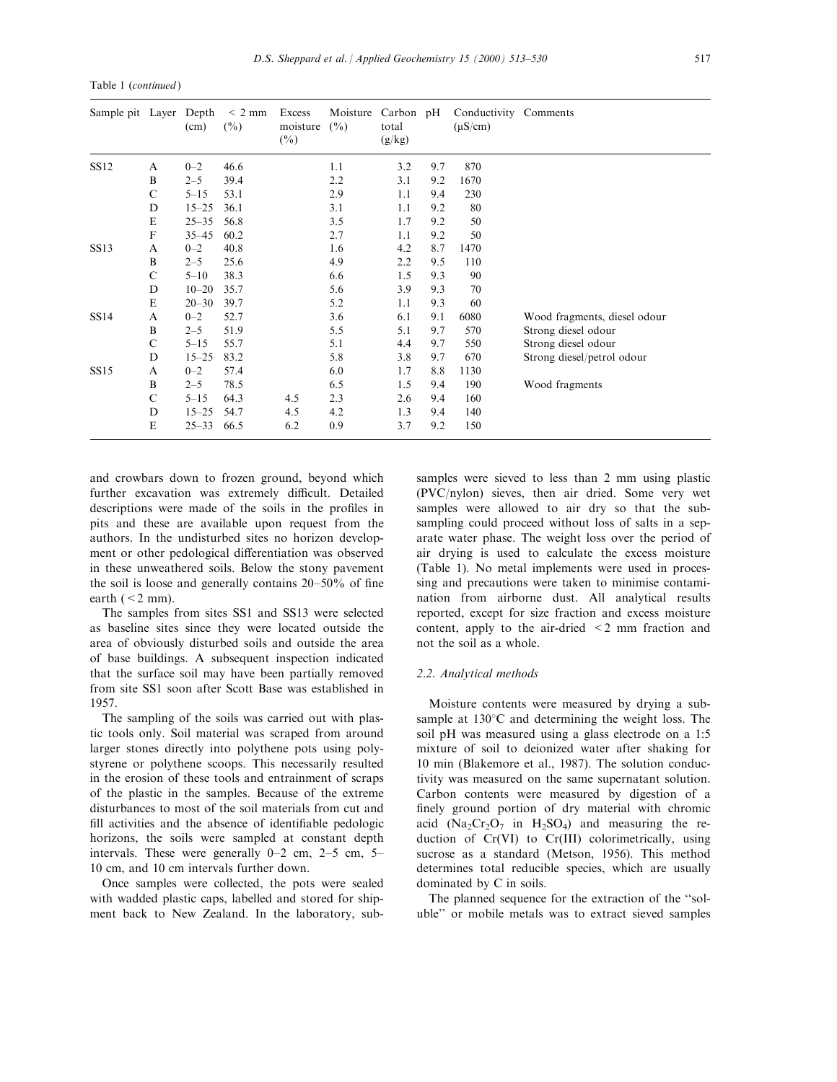| Table 1 (continued) |  |
|---------------------|--|
|---------------------|--|

| Sample pit Layer Depth |              | (cm)      | $\leq$ 2 mm<br>$(\%)$ | Excess<br>moisture<br>$(\%)$ | Moisture<br>(%) | Carbon pH<br>total<br>(g/kg) |     | Conductivity Comments<br>$(\mu S/cm)$ |                              |
|------------------------|--------------|-----------|-----------------------|------------------------------|-----------------|------------------------------|-----|---------------------------------------|------------------------------|
| <b>SS12</b>            | A            | $0 - 2$   | 46.6                  |                              | 1.1             | 3.2                          | 9.7 | 870                                   |                              |
|                        | $\, {\bf B}$ | $2 - 5$   | 39.4                  |                              | 2.2             | 3.1                          | 9.2 | 1670                                  |                              |
|                        | $\mathbf C$  | $5 - 15$  | 53.1                  |                              | 2.9             | 1.1                          | 9.4 | 230                                   |                              |
|                        | D            | $15 - 25$ | 36.1                  |                              | 3.1             | 1.1                          | 9.2 | 80                                    |                              |
|                        | $\mathbf E$  | $25 - 35$ | 56.8                  |                              | 3.5             | 1.7                          | 9.2 | 50                                    |                              |
|                        | $\mathbf F$  | $35 - 45$ | 60.2                  |                              | 2.7             | 1.1                          | 9.2 | 50                                    |                              |
| <b>SS13</b>            | A            | $0 - 2$   | 40.8                  |                              | 1.6             | 4.2                          | 8.7 | 1470                                  |                              |
|                        | B            | $2 - 5$   | 25.6                  |                              | 4.9             | 2.2                          | 9.5 | 110                                   |                              |
|                        | $\mathsf{C}$ | $5 - 10$  | 38.3                  |                              | 6.6             | 1.5                          | 9.3 | 90                                    |                              |
|                        | D            | $10 - 20$ | 35.7                  |                              | 5.6             | 3.9                          | 9.3 | 70                                    |                              |
|                        | E            | $20 - 30$ | 39.7                  |                              | 5.2             | 1.1                          | 9.3 | 60                                    |                              |
| SS14                   | A            | $0 - 2$   | 52.7                  |                              | 3.6             | 6.1                          | 9.1 | 6080                                  | Wood fragments, diesel odour |
|                        | B            | $2 - 5$   | 51.9                  |                              | 5.5             | 5.1                          | 9.7 | 570                                   | Strong diesel odour          |
|                        | $\mathbf C$  | $5 - 15$  | 55.7                  |                              | 5.1             | 4.4                          | 9.7 | 550                                   | Strong diesel odour          |
|                        | D            | $15 - 25$ | 83.2                  |                              | 5.8             | 3.8                          | 9.7 | 670                                   | Strong diesel/petrol odour   |
| SS15                   | A            | $0 - 2$   | 57.4                  |                              | 6.0             | 1.7                          | 8.8 | 1130                                  |                              |
|                        | $\bf{B}$     | $2 - 5$   | 78.5                  |                              | 6.5             | 1.5                          | 9.4 | 190                                   | Wood fragments               |
|                        | $\mathsf{C}$ | $5 - 15$  | 64.3                  | 4.5                          | 2.3             | 2.6                          | 9.4 | 160                                   |                              |
|                        | D            | $15 - 25$ | 54.7                  | 4.5                          | 4.2             | 1.3                          | 9.4 | 140                                   |                              |
|                        | E            | $25 - 33$ | 66.5                  | 6.2                          | 0.9             | 3.7                          | 9.2 | 150                                   |                              |

and crowbars down to frozen ground, beyond which further excavation was extremely difficult. Detailed descriptions were made of the soils in the profiles in pits and these are available upon request from the authors. In the undisturbed sites no horizon development or other pedological differentiation was observed in these unweathered soils. Below the stony pavement the soil is loose and generally contains  $20-50%$  of fine earth  $(< 2$  mm).

The samples from sites SS1 and SS13 were selected as baseline sites since they were located outside the area of obviously disturbed soils and outside the area of base buildings. A subsequent inspection indicated that the surface soil may have been partially removed from site SS1 soon after Scott Base was established in 1957.

The sampling of the soils was carried out with plastic tools only. Soil material was scraped from around larger stones directly into polythene pots using polystyrene or polythene scoops. This necessarily resulted in the erosion of these tools and entrainment of scraps of the plastic in the samples. Because of the extreme disturbances to most of the soil materials from cut and fill activities and the absence of identifiable pedologic horizons, the soils were sampled at constant depth intervals. These were generally  $0-2$  cm,  $2-5$  cm,  $5-$ 10 cm, and 10 cm intervals further down.

Once samples were collected, the pots were sealed with wadded plastic caps, labelled and stored for shipment back to New Zealand. In the laboratory, sub-

samples were sieved to less than 2 mm using plastic (PVC/nylon) sieves, then air dried. Some very wet samples were allowed to air dry so that the subsampling could proceed without loss of salts in a separate water phase. The weight loss over the period of air drying is used to calculate the excess moisture (Table 1). No metal implements were used in processing and precautions were taken to minimise contamination from airborne dust. All analytical results reported, except for size fraction and excess moisture content, apply to the air-dried <2 mm fraction and not the soil as a whole.

## 2.2. Analytical methods

Moisture contents were measured by drying a subsample at  $130^{\circ}$ C and determining the weight loss. The soil pH was measured using a glass electrode on a 1:5 mixture of soil to deionized water after shaking for 10 min (Blakemore et al., 1987). The solution conductivity was measured on the same supernatant solution. Carbon contents were measured by digestion of a finely ground portion of dry material with chromic acid  $(Na_2Cr_2O_7$  in  $H_2SO_4$ ) and measuring the reduction of Cr(VI) to Cr(III) colorimetrically, using sucrose as a standard (Metson, 1956). This method determines total reducible species, which are usually dominated by C in soils.

The planned sequence for the extraction of the "soluble'' or mobile metals was to extract sieved samples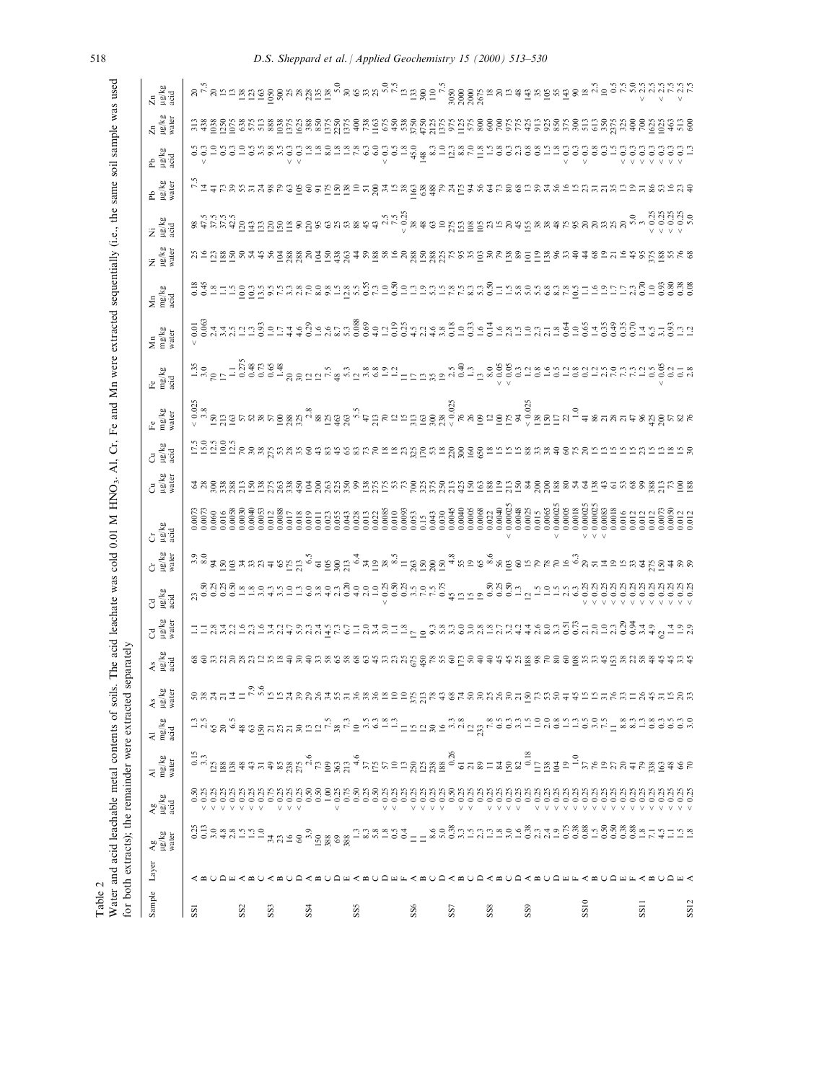| Water and acid leachable metal contents of soils.<br>for both extracts); the remainder were extracted<br>Table 2   |                                  |                                  |                                                                                                                                                                                                                        |                                                                                                                                                                                                                                | s                                                          | eparately             |                      |                     |                                             | The acid leachate was cold 0.01 M HNO <sub>3</sub> . Al, Cr, Fe and Mn were extracted sequentially (i.e., the same soil sample was used |                      |                                        |                                                                                                                                                                                                                                |                                                                                                                        |                      |                                                                                                                                                                                                                                  |                      |                                                                                                                                                                                                                                                                                             |                                                                                       |                                                                   |                                                                                                                                                                                                                                  |                                  |
|--------------------------------------------------------------------------------------------------------------------|----------------------------------|----------------------------------|------------------------------------------------------------------------------------------------------------------------------------------------------------------------------------------------------------------------|--------------------------------------------------------------------------------------------------------------------------------------------------------------------------------------------------------------------------------|------------------------------------------------------------|-----------------------|----------------------|---------------------|---------------------------------------------|-----------------------------------------------------------------------------------------------------------------------------------------|----------------------|----------------------------------------|--------------------------------------------------------------------------------------------------------------------------------------------------------------------------------------------------------------------------------|------------------------------------------------------------------------------------------------------------------------|----------------------|----------------------------------------------------------------------------------------------------------------------------------------------------------------------------------------------------------------------------------|----------------------|---------------------------------------------------------------------------------------------------------------------------------------------------------------------------------------------------------------------------------------------------------------------------------------------|---------------------------------------------------------------------------------------|-------------------------------------------------------------------|----------------------------------------------------------------------------------------------------------------------------------------------------------------------------------------------------------------------------------|----------------------------------|
| Layer<br>Sample                                                                                                    | $\frac{\text{Ag}}{\text{Hg/kg}}$ | $\frac{\text{Ag}}{\text{kg/kg}}$ | $\frac{\text{Al}}{\text{mg/kg}}$                                                                                                                                                                                       | $\begin{array}{l} \mathrm{Al} \\ \mathrm{mg/kg} \\ \mathrm{acid} \end{array}$                                                                                                                                                  | As<br>µg/kg<br>water                                       | As<br>। सु/kg<br>acid | Cd<br>µg/kg<br>water | Cd<br>Hg/kg<br>acid | Cr<br>Hg/kg<br>water                        | $Gr$<br>$\mu$ g/kg<br>acid                                                                                                              | Cu<br>Hg/kg<br>water | $Cu$<br>$\frac{\text{kg}}{\text{mol}}$ | Fe<br>mg/kg<br>water                                                                                                                                                                                                           | Fe $\begin{array}{l}\hbox{Fe}\\ \mathrm{mg/kg}\\ \mathrm{acid}\end{array}$                                             | Mn<br>mg/kg<br>water | $\begin{array}{l} \mathbf{Mn} \\ \mathbf{mg/kg} \\ \mathbf{a} \text{c} \text{id} \end{array}$                                                                                                                                    | Ni<br>µg/kg<br>water | Ni<br>Lig/kg<br>acid                                                                                                                                                                                                                                                                        | Pb<br>µg/kg<br>water                                                                  | Pb<br>Hg/kg<br>acid                                               | $\frac{Zn}{\log(kg)}$                                                                                                                                                                                                            | $\frac{\text{Zn}}{\text{Hg/kg}}$ |
| SSI                                                                                                                |                                  |                                  | $\frac{15}{3.3}$                                                                                                                                                                                                       |                                                                                                                                                                                                                                | 8837722                                                    |                       |                      |                     |                                             |                                                                                                                                         |                      |                                        |                                                                                                                                                                                                                                |                                                                                                                        |                      |                                                                                                                                                                                                                                  |                      |                                                                                                                                                                                                                                                                                             |                                                                                       |                                                                   |                                                                                                                                                                                                                                  |                                  |
| SS <sub>2</sub>                                                                                                    |                                  |                                  |                                                                                                                                                                                                                        |                                                                                                                                                                                                                                |                                                            |                       |                      |                     | ិទី<br>តួនាំង និដ្ឋិ ដូង ងូ ងូ <del>។</del> |                                                                                                                                         |                      |                                        |                                                                                                                                                                                                                                |                                                                                                                        |                      |                                                                                                                                                                                                                                  |                      |                                                                                                                                                                                                                                                                                             |                                                                                       |                                                                   |                                                                                                                                                                                                                                  |                                  |
| SS <sub>3</sub>                                                                                                    |                                  |                                  |                                                                                                                                                                                                                        |                                                                                                                                                                                                                                |                                                            |                       |                      |                     |                                             |                                                                                                                                         |                      |                                        |                                                                                                                                                                                                                                |                                                                                                                        |                      |                                                                                                                                                                                                                                  |                      |                                                                                                                                                                                                                                                                                             |                                                                                       | $\frac{3}{6}$                                                     |                                                                                                                                                                                                                                  |                                  |
| SS <sub>4</sub>                                                                                                    |                                  |                                  |                                                                                                                                                                                                                        |                                                                                                                                                                                                                                |                                                            |                       |                      |                     |                                             |                                                                                                                                         |                      |                                        |                                                                                                                                                                                                                                |                                                                                                                        |                      |                                                                                                                                                                                                                                  |                      |                                                                                                                                                                                                                                                                                             |                                                                                       | $\frac{1.8}{8.0}$                                                 |                                                                                                                                                                                                                                  |                                  |
| SSS                                                                                                                |                                  |                                  |                                                                                                                                                                                                                        |                                                                                                                                                                                                                                |                                                            |                       |                      |                     |                                             |                                                                                                                                         |                      |                                        | ័ ធ្ម ដូច្នេះ ស្ទួន មន្ត្រី មន្ត្រី ស្ទួន អូចដូច មន្ត្រី ស្ទួន មន្ត្រី ស្ទួន មន្ត្រី មន្ត្រី មន្ត្រី មន្ត្រី<br>ក្នុង មន្ត្រី មន្ត្រី មន្ត្រី មន្ត្រី ស្ទួន អូចដូច មន្ត្រី មន្ត្រី ស្ទួន មន្ត្រី ស្ទួន មន្ត្រី មន្ត្រី មន្ត្រី |                                                                                                                        |                      |                                                                                                                                                                                                                                  |                      |                                                                                                                                                                                                                                                                                             |                                                                                       | ersees<br>V                                                       |                                                                                                                                                                                                                                  |                                  |
| SS <sub>6</sub>                                                                                                    |                                  |                                  |                                                                                                                                                                                                                        |                                                                                                                                                                                                                                |                                                            |                       |                      |                     |                                             |                                                                                                                                         |                      |                                        |                                                                                                                                                                                                                                |                                                                                                                        |                      |                                                                                                                                                                                                                                  |                      |                                                                                                                                                                                                                                                                                             |                                                                                       |                                                                   |                                                                                                                                                                                                                                  |                                  |
| SS7                                                                                                                |                                  |                                  |                                                                                                                                                                                                                        |                                                                                                                                                                                                                                |                                                            |                       |                      |                     |                                             |                                                                                                                                         |                      |                                        |                                                                                                                                                                                                                                |                                                                                                                        |                      |                                                                                                                                                                                                                                  |                      |                                                                                                                                                                                                                                                                                             |                                                                                       |                                                                   |                                                                                                                                                                                                                                  |                                  |
| $\rm{SS}$                                                                                                          |                                  |                                  |                                                                                                                                                                                                                        |                                                                                                                                                                                                                                |                                                            |                       |                      |                     |                                             | $\begin{array}{l} 0.0068 \\ 0.022 \\ 0.0040 \\ 0.00025 \end{array}$                                                                     |                      |                                        |                                                                                                                                                                                                                                |                                                                                                                        |                      |                                                                                                                                                                                                                                  |                      |                                                                                                                                                                                                                                                                                             |                                                                                       |                                                                   |                                                                                                                                                                                                                                  |                                  |
| SS <sub>9</sub>                                                                                                    |                                  |                                  |                                                                                                                                                                                                                        |                                                                                                                                                                                                                                |                                                            |                       |                      |                     |                                             | $0.0065$<br>$0.00025$<br>$0.0005$<br>$0.0018$<br>$\begin{array}{c} 0.0048 \\ 0.0025 \\ 0.015 \end{array}$                               |                      |                                        |                                                                                                                                                                                                                                |                                                                                                                        |                      |                                                                                                                                                                                                                                  |                      |                                                                                                                                                                                                                                                                                             |                                                                                       |                                                                   |                                                                                                                                                                                                                                  |                                  |
| <b>A M U A M U A M U A A M U A M U A M U A A U A A M U A A M U A M U A M U A M U A M U A M V A M U A M</b><br>SS10 |                                  |                                  | id para de de la paradidade de la paradidade de la paradidade de la paradidade de la paradidade de l<br>Tradition de la paradidade de la paradidade de la paradidade de la paradidade de la paradidade de la paradidad | in di 2000 di 2000 di 2000 di 2000 di 2000 di 2000 di 2000 di 2000 di 2000 di 2000 di 2000 di 2000 di 2000 di<br>Li di 2000 di 2000 di 2000 di 2000 di 2000 di 2000 di 2000 di 2000 di 2000 di 2000 di 2000 di 2000 di 2000 di | っ。<br>C. v. こにはあめあなおおれあるといいだい。そのはのあなあるとこの方おめ4年におれておけなかれたのお |                       |                      |                     |                                             |                                                                                                                                         |                      | 828mm                                  |                                                                                                                                                                                                                                | ri v S F 190001834<br>T v S F 190001834<br>R 3 S F 1934 E 23 F 1934 E 23 F 1945 E 1956 E 19600195019501950118501019501 |                      | codential de dividual de la districción de la distribución de la distribución de la distribución de la distrib<br>1974 a distribución de la distribución de la distribución de la distribución de la distribución de la distribu |                      |                                                                                                                                                                                                                                                                                             | r.<br>" - エキにいいこ 14 % しゅうのうについている。" この。" - " この。" - 14 というでいいのでしょうとことに 12 こうこうにっぽいしょう | $\begin{array}{c} 25.3 \\ -0.3 \\ -0.5 \\ \end{array}$<br>$\circ$ | na sa shekara sa kasan sa shekara shekara ta shekara ta shekara ta shekara shekara ta shekara ta shekara ta sh<br>''' a shekara sa shekara ta shekara ta shekara ta shekara ta shekara ta shekara ta shekara ta shekara ta sheka |                                  |
| SS11<br>SS12                                                                                                       |                                  |                                  |                                                                                                                                                                                                                        |                                                                                                                                                                                                                                |                                                            |                       |                      |                     | 2                                           |                                                                                                                                         |                      |                                        | 78898688                                                                                                                                                                                                                       |                                                                                                                        |                      |                                                                                                                                                                                                                                  |                      | $\begin{array}{c} 0.67688 \\ 0.76000 \\ 0.00000 \\ 0.0000 \\ 0.0000 \\ 0.0000 \\ 0.0000 \\ 0.0000 \\ 0.0000 \\ 0.0000 \\ 0.0000 \\ 0.0000 \\ 0.0000 \\ 0.0000 \\ 0.0000 \\ 0.0000 \\ 0.0000 \\ 0.0000 \\ 0.0000 \\ 0.0000 \\ 0.0000 \\ 0.0000 \\ 0.0000 \\ 0.0000 \\ 0.0000 \\ 0.0000 \\ 0$ |                                                                                       | gggggggg                                                          |                                                                                                                                                                                                                                  |                                  |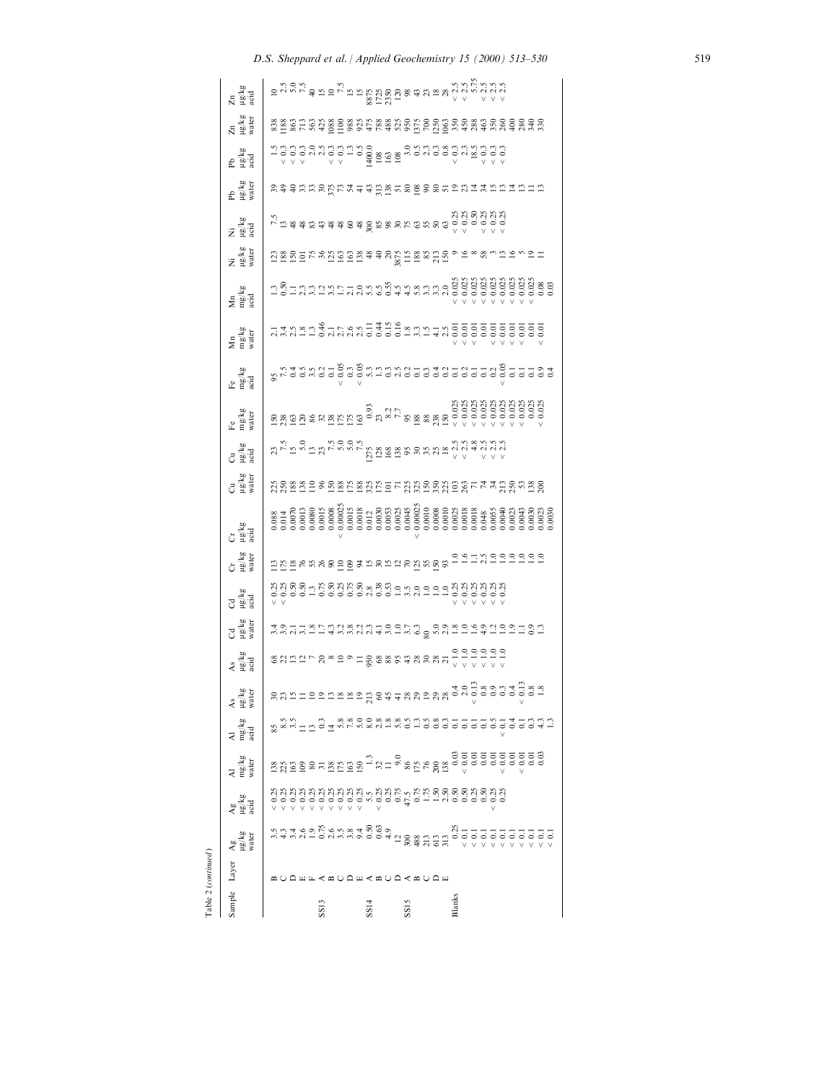|                  | Table 2 (continued)       |                                           |                       |                                                                                                                                                                                                                                                                                                                                                                                              |                                                                                                                                                                                                                                 |                      |                                  |                                  |                          |                      |                     |                                                                                                                                                                                                                                                                                                                                                                                                                      |                                                                                                                                                                                                                                                                                                                                                                                                                                  |                      |                                             |                                                                                                                                                                                                                                 |                     |                       |                                                                                                                                                                                                                                   |                                  |                       |                      |                                                                                                                                                                                                                                                                                                                        |
|------------------|---------------------------|-------------------------------------------|-----------------------|----------------------------------------------------------------------------------------------------------------------------------------------------------------------------------------------------------------------------------------------------------------------------------------------------------------------------------------------------------------------------------------------|---------------------------------------------------------------------------------------------------------------------------------------------------------------------------------------------------------------------------------|----------------------|----------------------------------|----------------------------------|--------------------------|----------------------|---------------------|----------------------------------------------------------------------------------------------------------------------------------------------------------------------------------------------------------------------------------------------------------------------------------------------------------------------------------------------------------------------------------------------------------------------|----------------------------------------------------------------------------------------------------------------------------------------------------------------------------------------------------------------------------------------------------------------------------------------------------------------------------------------------------------------------------------------------------------------------------------|----------------------|---------------------------------------------|---------------------------------------------------------------------------------------------------------------------------------------------------------------------------------------------------------------------------------|---------------------|-----------------------|-----------------------------------------------------------------------------------------------------------------------------------------------------------------------------------------------------------------------------------|----------------------------------|-----------------------|----------------------|------------------------------------------------------------------------------------------------------------------------------------------------------------------------------------------------------------------------------------------------------------------------------------------------------------------------|
| Sample Layer     |                           | $\frac{\text{Ag}}{\text{Hg/kg}}$          | ਆ ਲਾਤ<br>ਮਾਹਰ<br>ਅੰਗੂ | $\frac{\text{Al}}{\text{mg/kg}}$                                                                                                                                                                                                                                                                                                                                                             | $\frac{\text{Al}}{\text{mg/kg}}$                                                                                                                                                                                                | As<br>µg/kg<br>water | $\frac{\text{As}}{\text{mg/kg}}$ | Cd<br>µg/kg<br>water             | ರ<br>ಆ <sup>ಗ್ರ</sup> ಷೆ | Cr<br>ਘੁ/kg<br>water | Cr<br>Light<br>acid | Cu<br>ਮੁਭ/kg<br>water                                                                                                                                                                                                                                                                                                                                                                                                | ರ<br>ಆಗ್ನೇ<br>acd                                                                                                                                                                                                                                                                                                                                                                                                                | Fe<br>mg/kg<br>water | Fe<br>mg/kg<br>xcid                         | Mn<br>mg/kg<br>water                                                                                                                                                                                                            | Mn<br>mg/kg<br>acid | Ni<br>אַלאַש<br>אשוני | m<br>Parid<br>acid                                                                                                                                                                                                                | Pb<br>ug/kg<br>water             | Pb<br>ਮੁਲੂ/kg<br>acid | Zn<br>Hg/kg<br>water | Zn<br>Hg/kg<br>acid                                                                                                                                                                                                                                                                                                    |
|                  |                           |                                           |                       |                                                                                                                                                                                                                                                                                                                                                                                              |                                                                                                                                                                                                                                 |                      |                                  |                                  |                          |                      |                     |                                                                                                                                                                                                                                                                                                                                                                                                                      |                                                                                                                                                                                                                                                                                                                                                                                                                                  |                      |                                             |                                                                                                                                                                                                                                 |                     |                       |                                                                                                                                                                                                                                   |                                  |                       |                      |                                                                                                                                                                                                                                                                                                                        |
|                  |                           |                                           |                       |                                                                                                                                                                                                                                                                                                                                                                                              |                                                                                                                                                                                                                                 |                      |                                  |                                  |                          |                      |                     |                                                                                                                                                                                                                                                                                                                                                                                                                      |                                                                                                                                                                                                                                                                                                                                                                                                                                  |                      |                                             |                                                                                                                                                                                                                                 |                     |                       |                                                                                                                                                                                                                                   |                                  |                       |                      |                                                                                                                                                                                                                                                                                                                        |
|                  |                           |                                           |                       |                                                                                                                                                                                                                                                                                                                                                                                              |                                                                                                                                                                                                                                 |                      |                                  |                                  |                          |                      |                     |                                                                                                                                                                                                                                                                                                                                                                                                                      | $\mathcal{U}_{\mathcal{X}}$ $\mathcal{U}_{\mathcal{X}}$ $\mathcal{U}_{\mathcal{X}}$ $\mathcal{U}_{\mathcal{X}}$ $\mathcal{U}_{\mathcal{X}}$ $\mathcal{U}_{\mathcal{X}}$ $\mathcal{U}_{\mathcal{X}}$ $\mathcal{U}_{\mathcal{X}}$ $\mathcal{U}_{\mathcal{X}}$ $\mathcal{U}_{\mathcal{X}}$ $\mathcal{U}_{\mathcal{X}}$ $\mathcal{U}_{\mathcal{X}}$ $\mathcal{U}_{\mathcal{X}}$ $\mathcal{U}_{\mathcal{X}}$ $\mathcal{U}_{\mathcal{$ |                      |                                             |                                                                                                                                                                                                                                 |                     |                       | $\frac{1}{12}$ to the state of the state of the state of the state of the state of the state of the state of the state of the state of the state of the state of the state of the state of the state of the state of the state of |                                  |                       |                      | $=$ $\frac{1}{2}$ $\frac{1}{2}$ $\frac{1}{2}$ $\frac{1}{2}$ $\frac{1}{2}$ $\frac{1}{2}$ $\frac{1}{2}$ $\frac{1}{2}$ $\frac{1}{2}$ $\frac{1}{2}$ $\frac{1}{2}$ $\frac{1}{2}$ $\frac{1}{2}$ $\frac{1}{2}$ $\frac{1}{2}$ $\frac{1}{2}$ $\frac{1}{2}$ $\frac{1}{2}$ $\frac{1}{2}$ $\frac{1}{2}$ $\frac{1}{2}$ $\frac{1}{2$ |
|                  |                           |                                           |                       |                                                                                                                                                                                                                                                                                                                                                                                              |                                                                                                                                                                                                                                 |                      |                                  |                                  |                          |                      |                     |                                                                                                                                                                                                                                                                                                                                                                                                                      |                                                                                                                                                                                                                                                                                                                                                                                                                                  |                      |                                             |                                                                                                                                                                                                                                 |                     |                       |                                                                                                                                                                                                                                   |                                  |                       |                      |                                                                                                                                                                                                                                                                                                                        |
|                  |                           |                                           |                       |                                                                                                                                                                                                                                                                                                                                                                                              |                                                                                                                                                                                                                                 |                      |                                  |                                  |                          |                      |                     |                                                                                                                                                                                                                                                                                                                                                                                                                      |                                                                                                                                                                                                                                                                                                                                                                                                                                  |                      |                                             |                                                                                                                                                                                                                                 |                     |                       |                                                                                                                                                                                                                                   |                                  |                       |                      |                                                                                                                                                                                                                                                                                                                        |
| SS <sub>13</sub> |                           |                                           |                       |                                                                                                                                                                                                                                                                                                                                                                                              |                                                                                                                                                                                                                                 |                      |                                  |                                  |                          |                      |                     |                                                                                                                                                                                                                                                                                                                                                                                                                      |                                                                                                                                                                                                                                                                                                                                                                                                                                  |                      |                                             |                                                                                                                                                                                                                                 |                     |                       |                                                                                                                                                                                                                                   |                                  |                       |                      |                                                                                                                                                                                                                                                                                                                        |
|                  |                           |                                           |                       |                                                                                                                                                                                                                                                                                                                                                                                              |                                                                                                                                                                                                                                 |                      |                                  |                                  |                          |                      |                     |                                                                                                                                                                                                                                                                                                                                                                                                                      |                                                                                                                                                                                                                                                                                                                                                                                                                                  |                      |                                             |                                                                                                                                                                                                                                 |                     |                       |                                                                                                                                                                                                                                   |                                  |                       |                      |                                                                                                                                                                                                                                                                                                                        |
|                  |                           |                                           |                       |                                                                                                                                                                                                                                                                                                                                                                                              |                                                                                                                                                                                                                                 |                      |                                  |                                  |                          |                      |                     |                                                                                                                                                                                                                                                                                                                                                                                                                      |                                                                                                                                                                                                                                                                                                                                                                                                                                  |                      |                                             |                                                                                                                                                                                                                                 |                     |                       |                                                                                                                                                                                                                                   |                                  |                       |                      |                                                                                                                                                                                                                                                                                                                        |
|                  |                           |                                           |                       |                                                                                                                                                                                                                                                                                                                                                                                              |                                                                                                                                                                                                                                 |                      |                                  |                                  |                          |                      |                     |                                                                                                                                                                                                                                                                                                                                                                                                                      |                                                                                                                                                                                                                                                                                                                                                                                                                                  |                      |                                             |                                                                                                                                                                                                                                 |                     |                       |                                                                                                                                                                                                                                   |                                  |                       |                      |                                                                                                                                                                                                                                                                                                                        |
|                  |                           |                                           |                       |                                                                                                                                                                                                                                                                                                                                                                                              |                                                                                                                                                                                                                                 |                      |                                  |                                  |                          |                      |                     |                                                                                                                                                                                                                                                                                                                                                                                                                      |                                                                                                                                                                                                                                                                                                                                                                                                                                  |                      |                                             |                                                                                                                                                                                                                                 |                     |                       |                                                                                                                                                                                                                                   |                                  |                       |                      |                                                                                                                                                                                                                                                                                                                        |
| SS14             |                           |                                           |                       |                                                                                                                                                                                                                                                                                                                                                                                              |                                                                                                                                                                                                                                 |                      |                                  |                                  |                          |                      |                     |                                                                                                                                                                                                                                                                                                                                                                                                                      |                                                                                                                                                                                                                                                                                                                                                                                                                                  |                      |                                             |                                                                                                                                                                                                                                 |                     |                       |                                                                                                                                                                                                                                   |                                  |                       |                      |                                                                                                                                                                                                                                                                                                                        |
|                  | <b>EXAO A &lt; AO A E</b> |                                           |                       |                                                                                                                                                                                                                                                                                                                                                                                              |                                                                                                                                                                                                                                 |                      |                                  |                                  |                          |                      |                     |                                                                                                                                                                                                                                                                                                                                                                                                                      |                                                                                                                                                                                                                                                                                                                                                                                                                                  |                      |                                             |                                                                                                                                                                                                                                 |                     |                       |                                                                                                                                                                                                                                   |                                  |                       |                      |                                                                                                                                                                                                                                                                                                                        |
|                  |                           |                                           |                       |                                                                                                                                                                                                                                                                                                                                                                                              |                                                                                                                                                                                                                                 |                      |                                  |                                  |                          |                      |                     |                                                                                                                                                                                                                                                                                                                                                                                                                      |                                                                                                                                                                                                                                                                                                                                                                                                                                  |                      |                                             |                                                                                                                                                                                                                                 |                     |                       |                                                                                                                                                                                                                                   |                                  |                       |                      |                                                                                                                                                                                                                                                                                                                        |
|                  |                           |                                           |                       |                                                                                                                                                                                                                                                                                                                                                                                              |                                                                                                                                                                                                                                 |                      |                                  |                                  |                          |                      |                     |                                                                                                                                                                                                                                                                                                                                                                                                                      |                                                                                                                                                                                                                                                                                                                                                                                                                                  |                      |                                             |                                                                                                                                                                                                                                 |                     |                       |                                                                                                                                                                                                                                   |                                  |                       |                      |                                                                                                                                                                                                                                                                                                                        |
| SIS              |                           |                                           |                       |                                                                                                                                                                                                                                                                                                                                                                                              |                                                                                                                                                                                                                                 |                      |                                  |                                  |                          |                      |                     |                                                                                                                                                                                                                                                                                                                                                                                                                      |                                                                                                                                                                                                                                                                                                                                                                                                                                  |                      |                                             |                                                                                                                                                                                                                                 |                     |                       |                                                                                                                                                                                                                                   |                                  |                       |                      |                                                                                                                                                                                                                                                                                                                        |
|                  |                           |                                           |                       |                                                                                                                                                                                                                                                                                                                                                                                              |                                                                                                                                                                                                                                 |                      |                                  |                                  |                          |                      |                     |                                                                                                                                                                                                                                                                                                                                                                                                                      |                                                                                                                                                                                                                                                                                                                                                                                                                                  |                      |                                             |                                                                                                                                                                                                                                 |                     |                       |                                                                                                                                                                                                                                   |                                  |                       |                      |                                                                                                                                                                                                                                                                                                                        |
|                  |                           |                                           |                       |                                                                                                                                                                                                                                                                                                                                                                                              |                                                                                                                                                                                                                                 |                      |                                  |                                  |                          |                      |                     |                                                                                                                                                                                                                                                                                                                                                                                                                      |                                                                                                                                                                                                                                                                                                                                                                                                                                  |                      |                                             |                                                                                                                                                                                                                                 |                     |                       |                                                                                                                                                                                                                                   |                                  |                       |                      |                                                                                                                                                                                                                                                                                                                        |
|                  |                           |                                           |                       |                                                                                                                                                                                                                                                                                                                                                                                              |                                                                                                                                                                                                                                 |                      |                                  |                                  |                          |                      |                     |                                                                                                                                                                                                                                                                                                                                                                                                                      |                                                                                                                                                                                                                                                                                                                                                                                                                                  |                      |                                             |                                                                                                                                                                                                                                 |                     |                       |                                                                                                                                                                                                                                   |                                  |                       |                      |                                                                                                                                                                                                                                                                                                                        |
|                  |                           |                                           |                       |                                                                                                                                                                                                                                                                                                                                                                                              |                                                                                                                                                                                                                                 |                      |                                  |                                  |                          |                      |                     |                                                                                                                                                                                                                                                                                                                                                                                                                      |                                                                                                                                                                                                                                                                                                                                                                                                                                  |                      |                                             |                                                                                                                                                                                                                                 |                     |                       |                                                                                                                                                                                                                                   |                                  |                       |                      |                                                                                                                                                                                                                                                                                                                        |
| Blanks           |                           |                                           |                       |                                                                                                                                                                                                                                                                                                                                                                                              |                                                                                                                                                                                                                                 |                      |                                  |                                  |                          |                      |                     |                                                                                                                                                                                                                                                                                                                                                                                                                      |                                                                                                                                                                                                                                                                                                                                                                                                                                  |                      |                                             |                                                                                                                                                                                                                                 |                     |                       |                                                                                                                                                                                                                                   |                                  |                       |                      |                                                                                                                                                                                                                                                                                                                        |
|                  |                           |                                           |                       |                                                                                                                                                                                                                                                                                                                                                                                              |                                                                                                                                                                                                                                 |                      |                                  |                                  |                          |                      |                     |                                                                                                                                                                                                                                                                                                                                                                                                                      |                                                                                                                                                                                                                                                                                                                                                                                                                                  |                      |                                             |                                                                                                                                                                                                                                 |                     |                       |                                                                                                                                                                                                                                   |                                  |                       |                      |                                                                                                                                                                                                                                                                                                                        |
|                  |                           |                                           |                       |                                                                                                                                                                                                                                                                                                                                                                                              |                                                                                                                                                                                                                                 |                      |                                  |                                  |                          |                      |                     |                                                                                                                                                                                                                                                                                                                                                                                                                      |                                                                                                                                                                                                                                                                                                                                                                                                                                  |                      |                                             |                                                                                                                                                                                                                                 |                     |                       |                                                                                                                                                                                                                                   |                                  |                       |                      |                                                                                                                                                                                                                                                                                                                        |
|                  |                           |                                           |                       |                                                                                                                                                                                                                                                                                                                                                                                              |                                                                                                                                                                                                                                 |                      |                                  |                                  |                          |                      |                     |                                                                                                                                                                                                                                                                                                                                                                                                                      |                                                                                                                                                                                                                                                                                                                                                                                                                                  |                      |                                             |                                                                                                                                                                                                                                 |                     |                       |                                                                                                                                                                                                                                   |                                  |                       |                      |                                                                                                                                                                                                                                                                                                                        |
|                  |                           |                                           |                       |                                                                                                                                                                                                                                                                                                                                                                                              |                                                                                                                                                                                                                                 |                      |                                  |                                  |                          |                      |                     |                                                                                                                                                                                                                                                                                                                                                                                                                      |                                                                                                                                                                                                                                                                                                                                                                                                                                  |                      |                                             |                                                                                                                                                                                                                                 |                     |                       |                                                                                                                                                                                                                                   |                                  |                       |                      |                                                                                                                                                                                                                                                                                                                        |
|                  |                           |                                           |                       |                                                                                                                                                                                                                                                                                                                                                                                              |                                                                                                                                                                                                                                 |                      |                                  |                                  |                          |                      |                     |                                                                                                                                                                                                                                                                                                                                                                                                                      |                                                                                                                                                                                                                                                                                                                                                                                                                                  |                      |                                             |                                                                                                                                                                                                                                 |                     |                       |                                                                                                                                                                                                                                   |                                  |                       |                      |                                                                                                                                                                                                                                                                                                                        |
|                  |                           |                                           |                       |                                                                                                                                                                                                                                                                                                                                                                                              |                                                                                                                                                                                                                                 |                      |                                  |                                  |                          |                      |                     |                                                                                                                                                                                                                                                                                                                                                                                                                      |                                                                                                                                                                                                                                                                                                                                                                                                                                  |                      |                                             |                                                                                                                                                                                                                                 |                     |                       |                                                                                                                                                                                                                                   |                                  |                       |                      |                                                                                                                                                                                                                                                                                                                        |
|                  |                           |                                           |                       |                                                                                                                                                                                                                                                                                                                                                                                              |                                                                                                                                                                                                                                 |                      |                                  |                                  |                          |                      |                     |                                                                                                                                                                                                                                                                                                                                                                                                                      |                                                                                                                                                                                                                                                                                                                                                                                                                                  |                      |                                             |                                                                                                                                                                                                                                 |                     |                       |                                                                                                                                                                                                                                   |                                  |                       |                      |                                                                                                                                                                                                                                                                                                                        |
|                  |                           |                                           |                       | $\frac{1}{2} \frac{1}{2} \frac{1}{2} \frac{1}{2} \frac{1}{2} \frac{1}{2} \frac{1}{2} \frac{1}{2} \frac{1}{2} \frac{1}{2} \frac{1}{2} \frac{1}{2} \frac{1}{2} \frac{1}{2} \frac{1}{2} \frac{1}{2} \frac{1}{2} \frac{1}{2} \frac{1}{2} \frac{1}{2} \frac{1}{2} \frac{1}{2} \frac{1}{2} \frac{1}{2} \frac{1}{2} \frac{1}{2} \frac{1}{2} \frac{1}{2} \frac{1}{2} \frac{1}{2} \frac{1}{2} \frac{$ |                                                                                                                                                                                                                                 |                      |                                  | 4911875282510075009806920010日10日 |                          |                      |                     | $\mathop{3.68} \nolimits \mathop{2.68} \nolimits \mathop{2.68} \nolimits \mathop{2.68} \nolimits \mathop{2.68} \nolimits \mathop{2.68} \nolimits \mathop{2.68} \nolimits \mathop{2.68} \nolimits \mathop{2.68} \nolimits \mathop{2.68} \nolimits \mathop{2.68} \nolimits \mathop{2.68} \nolimits \mathop{2.68} \nolimits \mathop{2.68} \nolimits \mathop{2.68} \nolimits \mathop{2.68} \nolimits \mathop{2.68} \nol$ |                                                                                                                                                                                                                                                                                                                                                                                                                                  |                      |                                             | ria via u al Francisco de une anologo de de de de la construcción de la construcción de la construcción de la<br>La via u al Francisco de la construcción de la construcción de la construcción de la construcción de la constr |                     |                       |                                                                                                                                                                                                                                   | 88888888668888858888888888888888 |                       |                      |                                                                                                                                                                                                                                                                                                                        |
|                  |                           | marcon Commando da US # HOR DO VVVVVVVVVV |                       |                                                                                                                                                                                                                                                                                                                                                                                              | s su de la disposición de la de la de la de la de la de la de la de la de la de la de la de la de la de la de<br>La de la de la de la de la de la de la de la de la de la de la de la de la de la de la de la de la de la de la |                      |                                  |                                  |                          |                      |                     |                                                                                                                                                                                                                                                                                                                                                                                                                      |                                                                                                                                                                                                                                                                                                                                                                                                                                  |                      | gradu da da da hinging sang sang sanggalang |                                                                                                                                                                                                                                 |                     |                       |                                                                                                                                                                                                                                   |                                  |                       |                      |                                                                                                                                                                                                                                                                                                                        |
|                  |                           |                                           |                       |                                                                                                                                                                                                                                                                                                                                                                                              |                                                                                                                                                                                                                                 |                      |                                  |                                  |                          |                      |                     |                                                                                                                                                                                                                                                                                                                                                                                                                      |                                                                                                                                                                                                                                                                                                                                                                                                                                  |                      |                                             |                                                                                                                                                                                                                                 |                     |                       |                                                                                                                                                                                                                                   |                                  |                       |                      |                                                                                                                                                                                                                                                                                                                        |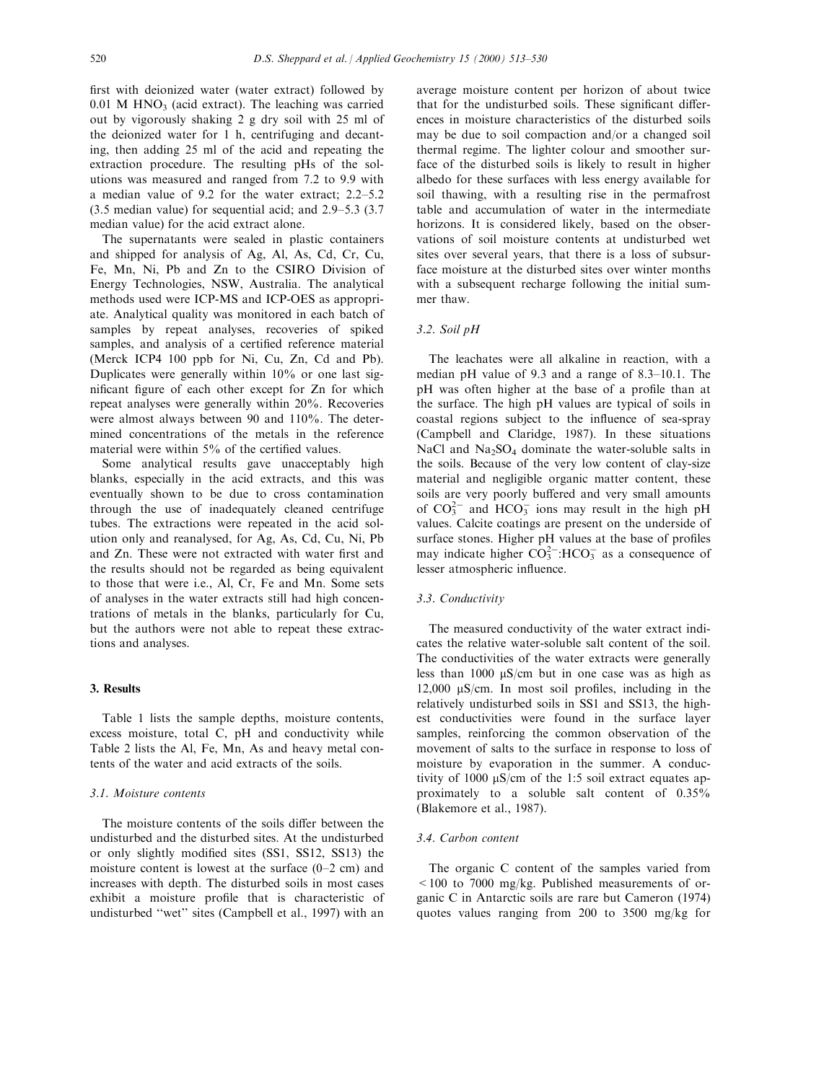first with deionized water (water extract) followed by  $0.01$  M HNO<sub>3</sub> (acid extract). The leaching was carried out by vigorously shaking 2 g dry soil with 25 ml of the deionized water for 1 h, centrifuging and decanting, then adding 25 ml of the acid and repeating the extraction procedure. The resulting pHs of the solutions was measured and ranged from 7.2 to 9.9 with a median value of  $9.2$  for the water extract;  $2.2-5.2$  $(3.5 \text{ median value})$  for sequential acid; and  $2.9-5.3$   $(3.7)$ median value) for the acid extract alone.

The supernatants were sealed in plastic containers and shipped for analysis of Ag, Al, As, Cd, Cr, Cu, Fe, Mn, Ni, Pb and Zn to the CSIRO Division of Energy Technologies, NSW, Australia. The analytical methods used were ICP-MS and ICP-OES as appropriate. Analytical quality was monitored in each batch of samples by repeat analyses, recoveries of spiked samples, and analysis of a certified reference material (Merck ICP4 100 ppb for Ni, Cu, Zn, Cd and Pb). Duplicates were generally within 10% or one last significant figure of each other except for Zn for which repeat analyses were generally within 20%. Recoveries were almost always between 90 and 110%. The determined concentrations of the metals in the reference material were within  $5\%$  of the certified values.

Some analytical results gave unacceptably high blanks, especially in the acid extracts, and this was eventually shown to be due to cross contamination through the use of inadequately cleaned centrifuge tubes. The extractions were repeated in the acid solution only and reanalysed, for Ag, As, Cd, Cu, Ni, Pb and Zn. These were not extracted with water first and the results should not be regarded as being equivalent to those that were i.e., Al, Cr, Fe and Mn. Some sets of analyses in the water extracts still had high concentrations of metals in the blanks, particularly for Cu, but the authors were not able to repeat these extractions and analyses.

## 3. Results

Table 1 lists the sample depths, moisture contents, excess moisture, total C, pH and conductivity while Table 2 lists the Al, Fe, Mn, As and heavy metal contents of the water and acid extracts of the soils.

## 3.1. Moisture contents

The moisture contents of the soils differ between the undisturbed and the disturbed sites. At the undisturbed or only slightly modified sites (SS1, SS12, SS13) the moisture content is lowest at the surface  $(0-2 \text{ cm})$  and increases with depth. The disturbed soils in most cases exhibit a moisture profile that is characteristic of undisturbed "wet" sites (Campbell et al., 1997) with an

average moisture content per horizon of about twice that for the undisturbed soils. These significant differences in moisture characteristics of the disturbed soils may be due to soil compaction and/or a changed soil thermal regime. The lighter colour and smoother surface of the disturbed soils is likely to result in higher albedo for these surfaces with less energy available for soil thawing, with a resulting rise in the permafrost table and accumulation of water in the intermediate horizons. It is considered likely, based on the observations of soil moisture contents at undisturbed wet sites over several years, that there is a loss of subsurface moisture at the disturbed sites over winter months with a subsequent recharge following the initial summer thaw.

# 3.2. Soil pH

The leachates were all alkaline in reaction, with a median pH value of  $9.3$  and a range of  $8.3-10.1$ . The pH was often higher at the base of a profile than at the surface. The high pH values are typical of soils in coastal regions subject to the influence of sea-spray (Campbell and Claridge, 1987). In these situations NaCl and Na<sub>2</sub>SO<sub>4</sub> dominate the water-soluble salts in the soils. Because of the very low content of clay-size material and negligible organic matter content, these soils are very poorly buffered and very small amounts of  $CO_3^{2-}$  and  $HCO_3^-$  ions may result in the high pH values. Calcite coatings are present on the underside of surface stones. Higher pH values at the base of profiles may indicate higher  $CO_3^{2-}$ :HCO<sub>3</sub> as a consequence of lesser atmospheric influence.

#### 3.3. Conductivity

The measured conductivity of the water extract indicates the relative water-soluble salt content of the soil. The conductivities of the water extracts were generally less than 1000  $\mu$ S/cm but in one case was as high as 12,000  $\mu$ S/cm. In most soil profiles, including in the relatively undisturbed soils in SS1 and SS13, the highest conductivities were found in the surface layer samples, reinforcing the common observation of the movement of salts to the surface in response to loss of moisture by evaporation in the summer. A conductivity of 1000  $\mu$ S/cm of the 1:5 soil extract equates approximately to a soluble salt content of 0.35% (Blakemore et al., 1987).

#### 3.4. Carbon content

The organic C content of the samples varied from  $\leq$  100 to 7000 mg/kg. Published measurements of organic C in Antarctic soils are rare but Cameron (1974) quotes values ranging from 200 to 3500 mg/kg for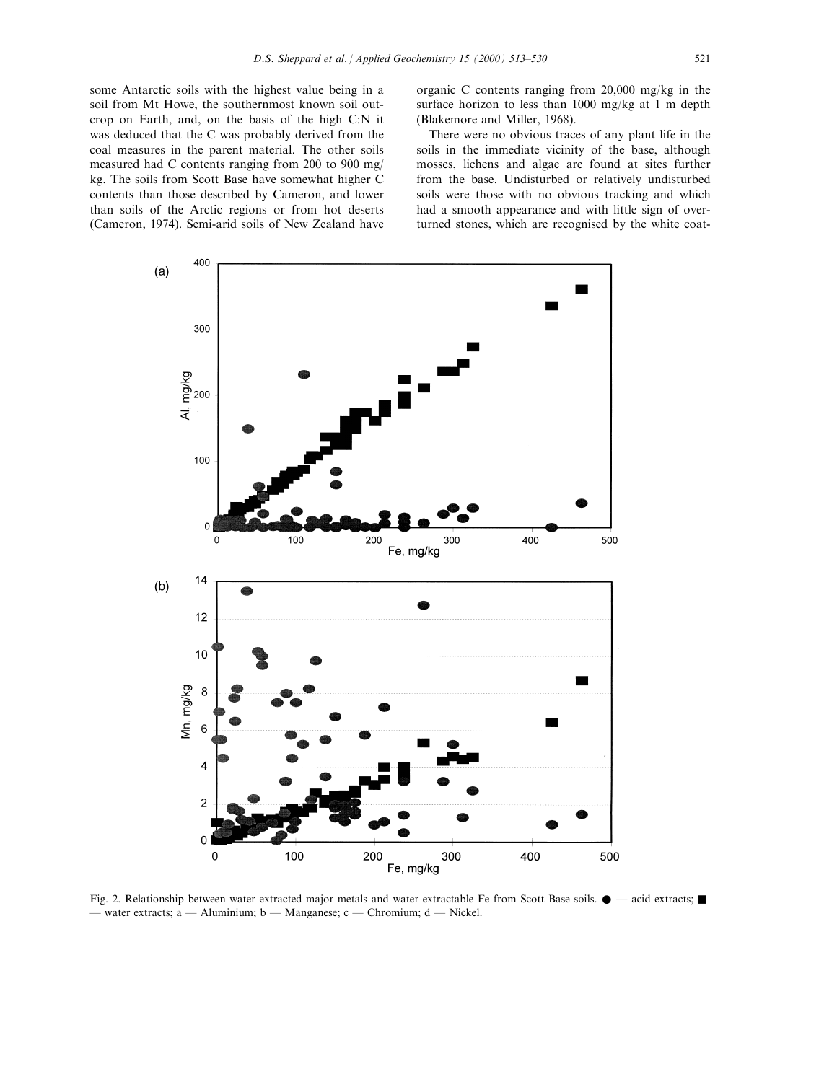some Antarctic soils with the highest value being in a soil from Mt Howe, the southernmost known soil outcrop on Earth, and, on the basis of the high C:N it was deduced that the C was probably derived from the coal measures in the parent material. The other soils measured had C contents ranging from 200 to 900 mg/ kg. The soils from Scott Base have somewhat higher C contents than those described by Cameron, and lower than soils of the Arctic regions or from hot deserts (Cameron, 1974). Semi-arid soils of New Zealand have organic C contents ranging from 20,000 mg/kg in the surface horizon to less than 1000 mg/kg at 1 m depth (Blakemore and Miller, 1968).

There were no obvious traces of any plant life in the soils in the immediate vicinity of the base, although mosses, lichens and algae are found at sites further from the base. Undisturbed or relatively undisturbed soils were those with no obvious tracking and which had a smooth appearance and with little sign of overturned stones, which are recognised by the white coat-



Fig. 2. Relationship between water extracted major metals and water extractable Fe from Scott Base soils.  $\bullet$   $-$  acid extracts;  $\blacksquare$  $\phi$  water extracts; a  $\phi$  Aluminium; b  $\phi$  Manganese; c  $\phi$  Chromium; d  $\phi$  Nickel.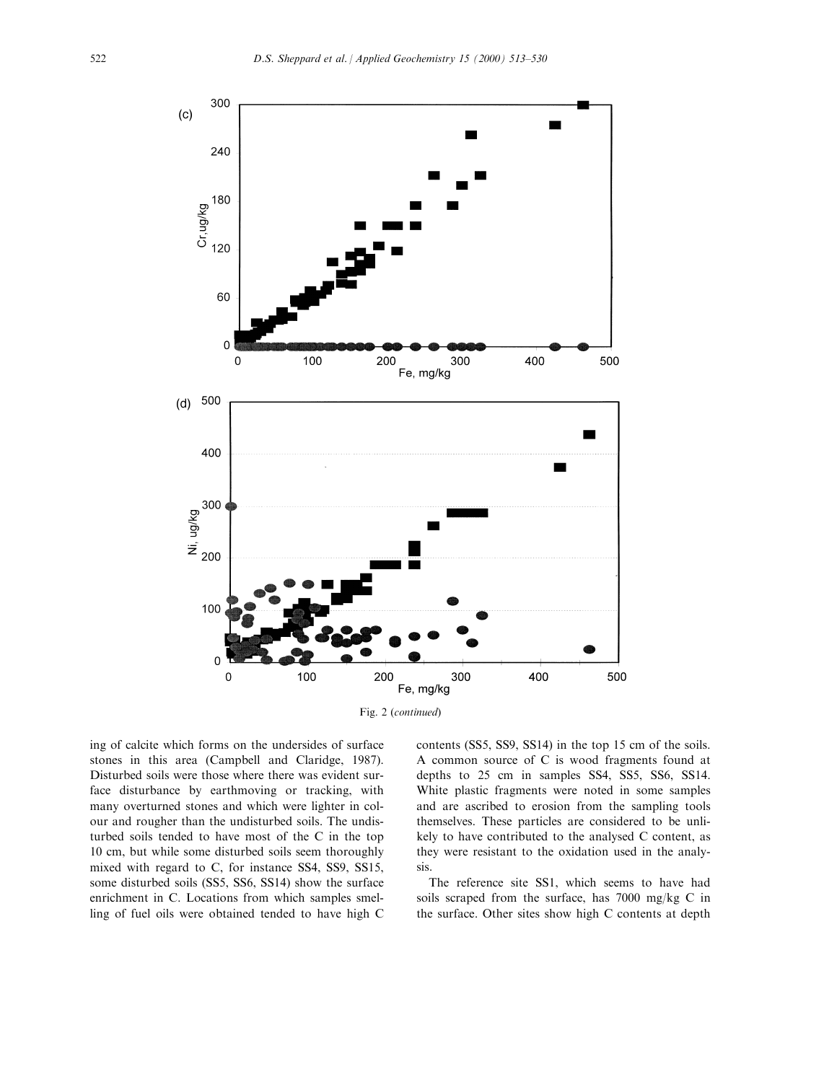



ing of calcite which forms on the undersides of surface stones in this area (Campbell and Claridge, 1987). Disturbed soils were those where there was evident surface disturbance by earthmoving or tracking, with many overturned stones and which were lighter in colour and rougher than the undisturbed soils. The undisturbed soils tended to have most of the C in the top 10 cm, but while some disturbed soils seem thoroughly mixed with regard to C, for instance SS4, SS9, SS15, some disturbed soils (SS5, SS6, SS14) show the surface enrichment in C. Locations from which samples smelling of fuel oils were obtained tended to have high C contents (SS5, SS9, SS14) in the top 15 cm of the soils. A common source of C is wood fragments found at depths to 25 cm in samples SS4, SS5, SS6, SS14. White plastic fragments were noted in some samples and are ascribed to erosion from the sampling tools themselves. These particles are considered to be unlikely to have contributed to the analysed C content, as they were resistant to the oxidation used in the analysis.

The reference site SS1, which seems to have had soils scraped from the surface, has 7000 mg/kg C in the surface. Other sites show high C contents at depth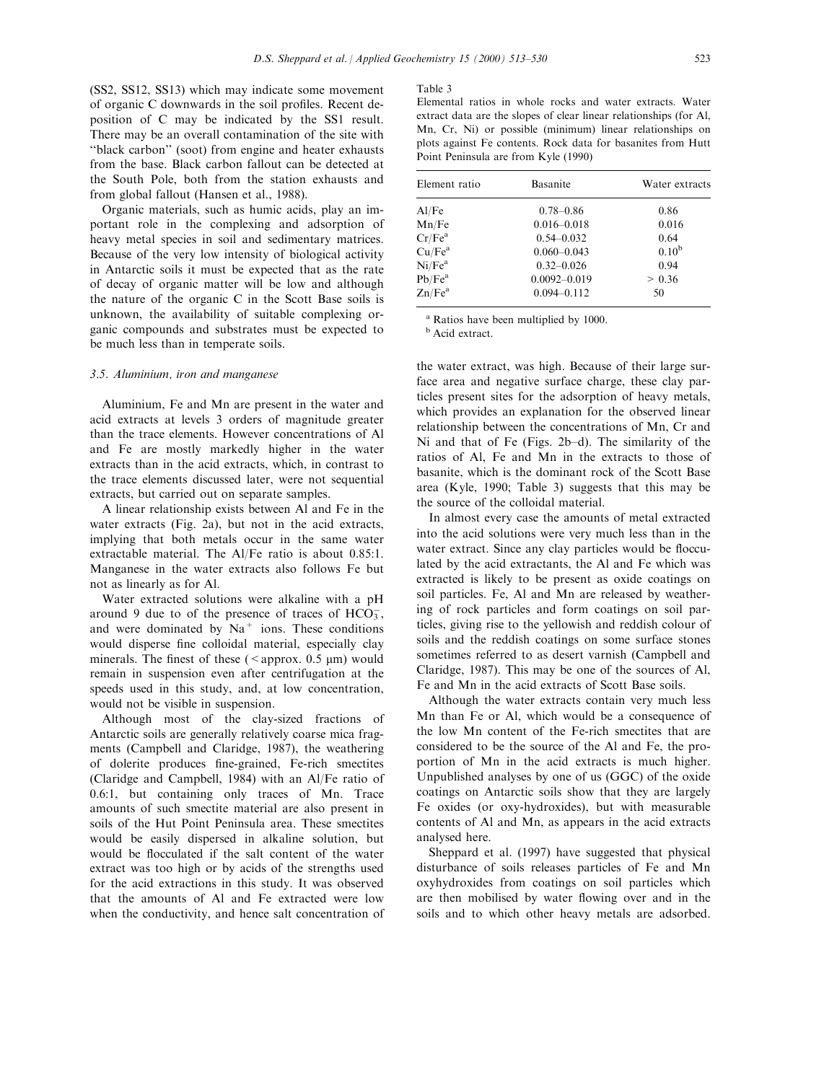(SS2, SS12, SS13) which may indicate some movement of organic C downwards in the soil profiles. Recent deposition of C may be indicated by the SS1 result. There may be an overall contamination of the site with ``black carbon'' (soot) from engine and heater exhausts from the base. Black carbon fallout can be detected at the South Pole, both from the station exhausts and from global fallout (Hansen et al., 1988).

Organic materials, such as humic acids, play an important role in the complexing and adsorption of heavy metal species in soil and sedimentary matrices. Because of the very low intensity of biological activity in Antarctic soils it must be expected that as the rate of decay of organic matter will be low and although the nature of the organic C in the Scott Base soils is unknown, the availability of suitable complexing organic compounds and substrates must be expected to be much less than in temperate soils.

#### 3.5. Aluminium, iron and manganese

Aluminium, Fe and Mn are present in the water and acid extracts at levels 3 orders of magnitude greater than the trace elements. However concentrations of Al and Fe are mostly markedly higher in the water extracts than in the acid extracts, which, in contrast to the trace elements discussed later, were not sequential extracts, but carried out on separate samples.

A linear relationship exists between Al and Fe in the water extracts (Fig. 2a), but not in the acid extracts, implying that both metals occur in the same water extractable material. The Al/Fe ratio is about 0.85:1. Manganese in the water extracts also follows Fe but not as linearly as for Al.

Water extracted solutions were alkaline with a pH around 9 due to of the presence of traces of  $HCO_3^-$ , and were dominated by  $Na<sup>+</sup>$  ions. These conditions would disperse fine colloidal material, especially clay minerals. The finest of these ( $\leq$ approx. 0.5  $\mu$ m) would remain in suspension even after centrifugation at the speeds used in this study, and, at low concentration, would not be visible in suspension.

Although most of the clay-sized fractions of Antarctic soils are generally relatively coarse mica fragments (Campbell and Claridge, 1987), the weathering of dolerite produces fine-grained, Fe-rich smectites (Claridge and Campbell, 1984) with an Al/Fe ratio of 0.6:1, but containing only traces of Mn. Trace amounts of such smectite material are also present in soils of the Hut Point Peninsula area. These smectites would be easily dispersed in alkaline solution, but would be flocculated if the salt content of the water extract was too high or by acids of the strengths used for the acid extractions in this study. It was observed that the amounts of Al and Fe extracted were low when the conductivity, and hence salt concentration of

#### Table 3

Elemental ratios in whole rocks and water extracts. Water extract data are the slopes of clear linear relationships (for Al, Mn, Cr, Ni) or possible (minimum) linear relationships on plots against Fe contents. Rock data for basanites from Hutt Point Peninsula are from Kyle (1990)

| Element ratio      | <b>Basanite</b>  | Water extracts |
|--------------------|------------------|----------------|
| Al/Fe              | $0.78 - 0.86$    | 0.86           |
| Mn/Fe              | $0.016 - 0.018$  | 0.016          |
| Cr/Fe <sup>a</sup> | $0.54 - 0.032$   | 0.64           |
| Cu/Fe <sup>a</sup> | $0.060 - 0.043$  | $0.10^{b}$     |
| Ni/Fe <sup>a</sup> | $0.32 - 0.026$   | 0.94           |
| Pb/Fe <sup>a</sup> | $0.0092 - 0.019$ | > 0.36         |
| Zn/Fe <sup>a</sup> | $0.094 - 0.112$  | 50             |

<sup>a</sup> Ratios have been multiplied by 1000.

**b** Acid extract.

the water extract, was high. Because of their large surface area and negative surface charge, these clay particles present sites for the adsorption of heavy metals, which provides an explanation for the observed linear relationship between the concentrations of Mn, Cr and Ni and that of Fe (Figs.  $2b-d$ ). The similarity of the ratios of Al, Fe and Mn in the extracts to those of basanite, which is the dominant rock of the Scott Base area (Kyle, 1990; Table 3) suggests that this may be the source of the colloidal material.

In almost every case the amounts of metal extracted into the acid solutions were very much less than in the water extract. Since any clay particles would be flocculated by the acid extractants, the Al and Fe which was extracted is likely to be present as oxide coatings on soil particles. Fe, Al and Mn are released by weathering of rock particles and form coatings on soil particles, giving rise to the yellowish and reddish colour of soils and the reddish coatings on some surface stones sometimes referred to as desert varnish (Campbell and Claridge, 1987). This may be one of the sources of Al, Fe and Mn in the acid extracts of Scott Base soils.

Although the water extracts contain very much less Mn than Fe or Al, which would be a consequence of the low Mn content of the Fe-rich smectites that are considered to be the source of the Al and Fe, the proportion of Mn in the acid extracts is much higher. Unpublished analyses by one of us (GGC) of the oxide coatings on Antarctic soils show that they are largely Fe oxides (or oxy-hydroxides), but with measurable contents of Al and Mn, as appears in the acid extracts analysed here.

Sheppard et al. (1997) have suggested that physical disturbance of soils releases particles of Fe and Mn oxyhydroxides from coatings on soil particles which are then mobilised by water flowing over and in the soils and to which other heavy metals are adsorbed.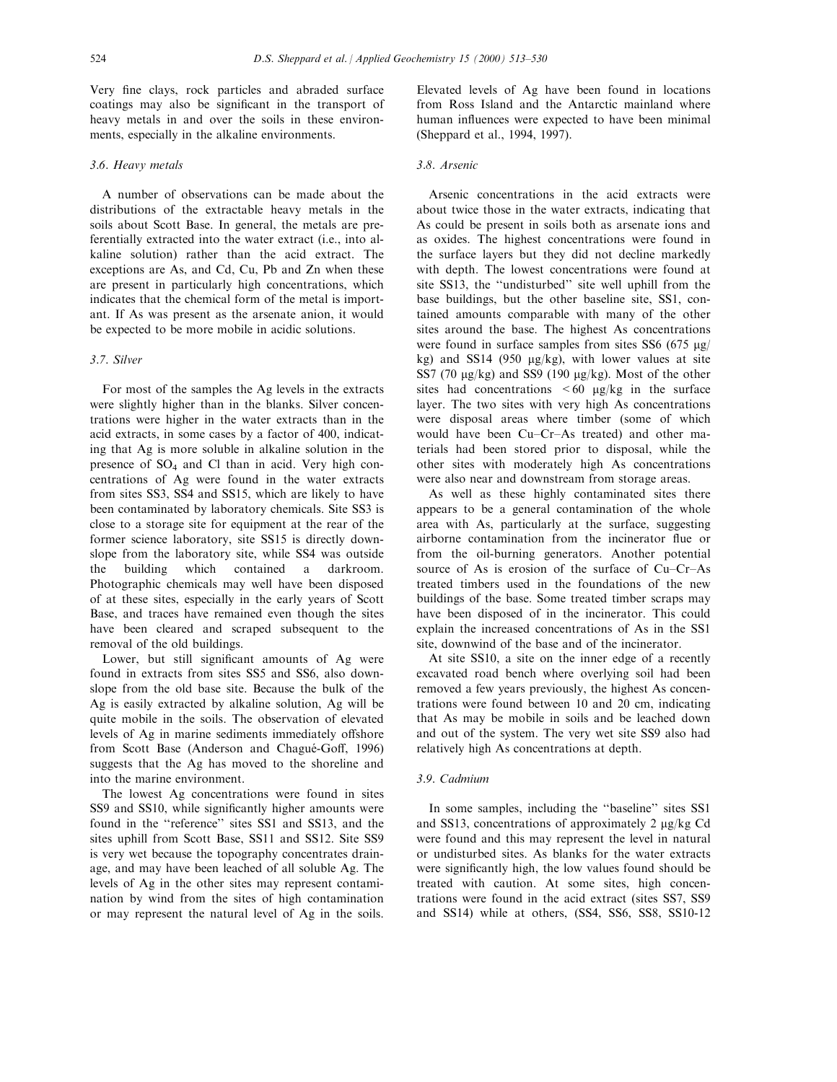Very fine clays, rock particles and abraded surface coatings may also be significant in the transport of heavy metals in and over the soils in these environments, especially in the alkaline environments.

## 3.6. Heavy metals

A number of observations can be made about the distributions of the extractable heavy metals in the soils about Scott Base. In general, the metals are preferentially extracted into the water extract (i.e., into alkaline solution) rather than the acid extract. The exceptions are As, and Cd, Cu, Pb and Zn when these are present in particularly high concentrations, which indicates that the chemical form of the metal is important. If As was present as the arsenate anion, it would be expected to be more mobile in acidic solutions.

# 3.7. Silver

For most of the samples the Ag levels in the extracts were slightly higher than in the blanks. Silver concentrations were higher in the water extracts than in the acid extracts, in some cases by a factor of 400, indicating that Ag is more soluble in alkaline solution in the presence of SO4 and Cl than in acid. Very high concentrations of Ag were found in the water extracts from sites SS3, SS4 and SS15, which are likely to have been contaminated by laboratory chemicals. Site SS3 is close to a storage site for equipment at the rear of the former science laboratory, site SS15 is directly downslope from the laboratory site, while SS4 was outside the building which contained a darkroom. Photographic chemicals may well have been disposed of at these sites, especially in the early years of Scott Base, and traces have remained even though the sites have been cleared and scraped subsequent to the removal of the old buildings.

Lower, but still significant amounts of Ag were found in extracts from sites SS5 and SS6, also downslope from the old base site. Because the bulk of the Ag is easily extracted by alkaline solution, Ag will be quite mobile in the soils. The observation of elevated levels of Ag in marine sediments immediately offshore from Scott Base (Anderson and Chagué-Goff, 1996) suggests that the Ag has moved to the shoreline and into the marine environment.

The lowest Ag concentrations were found in sites SS9 and SS10, while significantly higher amounts were found in the "reference" sites SS1 and SS13, and the sites uphill from Scott Base, SS11 and SS12. Site SS9 is very wet because the topography concentrates drainage, and may have been leached of all soluble Ag. The levels of Ag in the other sites may represent contamination by wind from the sites of high contamination or may represent the natural level of Ag in the soils.

Elevated levels of Ag have been found in locations from Ross Island and the Antarctic mainland where human influences were expected to have been minimal (Sheppard et al., 1994, 1997).

## 3.8. Arsenic

Arsenic concentrations in the acid extracts were about twice those in the water extracts, indicating that As could be present in soils both as arsenate ions and as oxides. The highest concentrations were found in the surface layers but they did not decline markedly with depth. The lowest concentrations were found at site SS13, the "undisturbed" site well uphill from the base buildings, but the other baseline site, SS1, contained amounts comparable with many of the other sites around the base. The highest As concentrations were found in surface samples from sites SS6 (675  $\mu$ g/ kg) and SS14 (950  $\mu$ g/kg), with lower values at site SS7 (70  $\mu$ g/kg) and SS9 (190  $\mu$ g/kg). Most of the other sites had concentrations  $\leq 60$  µg/kg in the surface layer. The two sites with very high As concentrations were disposal areas where timber (some of which would have been Cu-Cr-As treated) and other materials had been stored prior to disposal, while the other sites with moderately high As concentrations were also near and downstream from storage areas.

As well as these highly contaminated sites there appears to be a general contamination of the whole area with As, particularly at the surface, suggesting airborne contamination from the incinerator flue or from the oil-burning generators. Another potential source of As is erosion of the surface of  $Cu-Cr-As$ treated timbers used in the foundations of the new buildings of the base. Some treated timber scraps may have been disposed of in the incinerator. This could explain the increased concentrations of As in the SS1 site, downwind of the base and of the incinerator.

At site SS10, a site on the inner edge of a recently excavated road bench where overlying soil had been removed a few years previously, the highest As concentrations were found between 10 and 20 cm, indicating that As may be mobile in soils and be leached down and out of the system. The very wet site SS9 also had relatively high As concentrations at depth.

#### 3.9. Cadmium

In some samples, including the "baseline" sites SS1 and SS13, concentrations of approximately  $2 \mu g/kg$  Cd were found and this may represent the level in natural or undisturbed sites. As blanks for the water extracts were significantly high, the low values found should be treated with caution. At some sites, high concentrations were found in the acid extract (sites SS7, SS9 and SS14) while at others, (SS4, SS6, SS8, SS10-12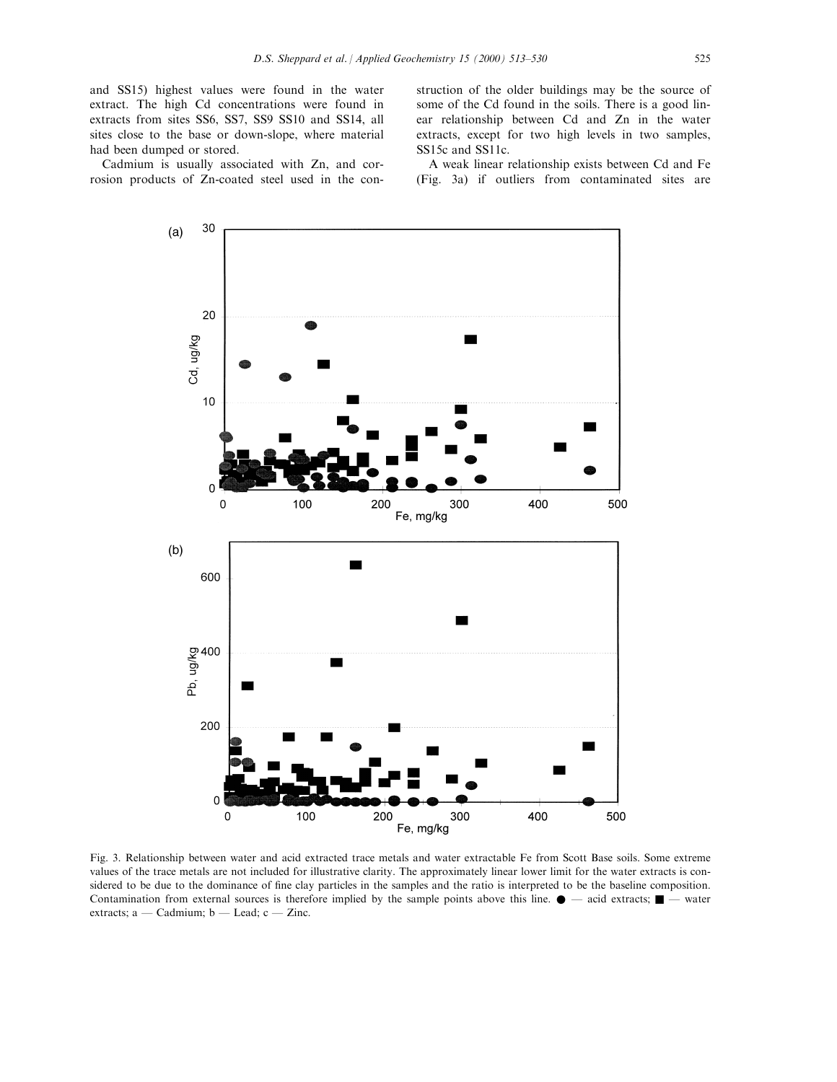and SS15) highest values were found in the water extract. The high Cd concentrations were found in extracts from sites SS6, SS7, SS9 SS10 and SS14, all sites close to the base or down-slope, where material had been dumped or stored.

Cadmium is usually associated with Zn, and corrosion products of Zn-coated steel used in the construction of the older buildings may be the source of some of the Cd found in the soils. There is a good linear relationship between Cd and Zn in the water extracts, except for two high levels in two samples, SS15c and SS11c.

A weak linear relationship exists between Cd and Fe (Fig. 3a) if outliers from contaminated sites are



Fig. 3. Relationship between water and acid extracted trace metals and water extractable Fe from Scott Base soils. Some extreme values of the trace metals are not included for illustrative clarity. The approximately linear lower limit for the water extracts is considered to be due to the dominance of fine clay particles in the samples and the ratio is interpreted to be the baseline composition. Contamination from external sources is therefore implied by the sample points above this line.  $\bullet$   $-$  acid extracts;  $\blacksquare$   $-$  water extracts; a  $-$  Cadmium; b  $-$  Lead; c  $-$  Zinc.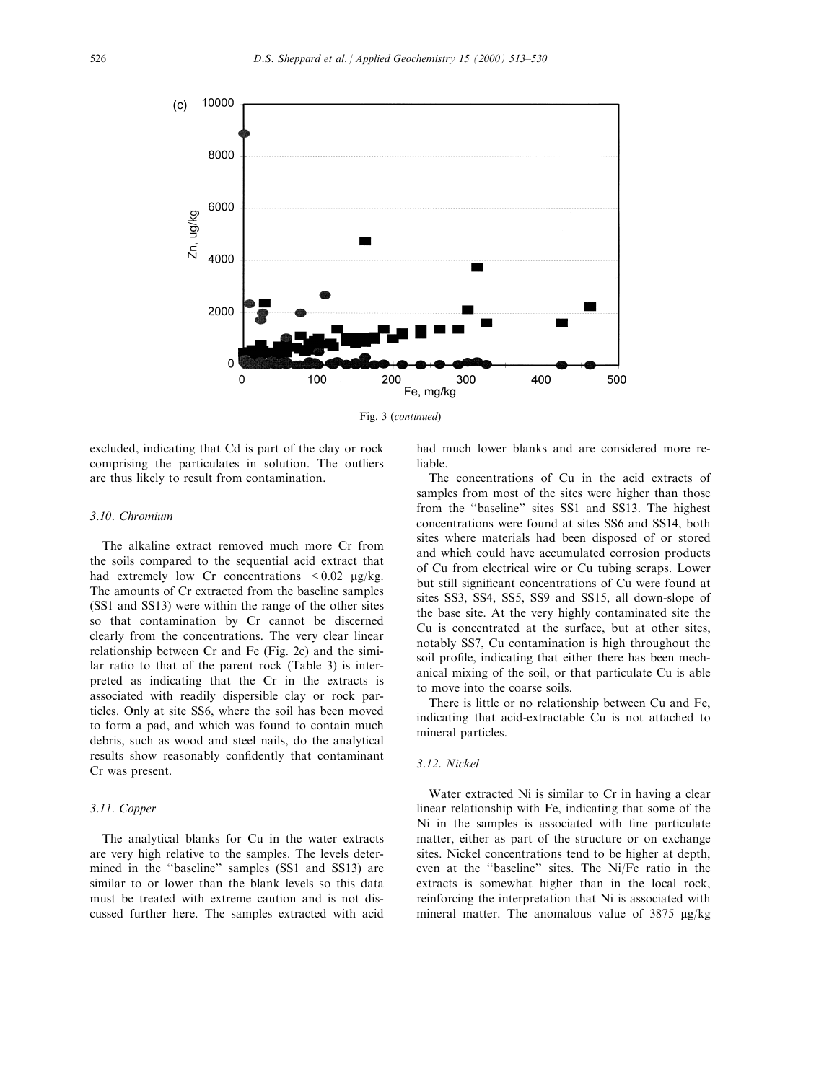

Fig. 3 (continued)

excluded, indicating that Cd is part of the clay or rock comprising the particulates in solution. The outliers are thus likely to result from contamination.

## 3.10. Chromium

The alkaline extract removed much more Cr from the soils compared to the sequential acid extract that had extremely low Cr concentrations  $\lt 0.02$  µg/kg. The amounts of Cr extracted from the baseline samples (SS1 and SS13) were within the range of the other sites so that contamination by Cr cannot be discerned clearly from the concentrations. The very clear linear relationship between Cr and Fe (Fig. 2c) and the similar ratio to that of the parent rock (Table 3) is interpreted as indicating that the Cr in the extracts is associated with readily dispersible clay or rock particles. Only at site SS6, where the soil has been moved to form a pad, and which was found to contain much debris, such as wood and steel nails, do the analytical results show reasonably confidently that contaminant Cr was present.

## 3.11. Copper

The analytical blanks for Cu in the water extracts are very high relative to the samples. The levels determined in the "baseline" samples (SS1 and SS13) are similar to or lower than the blank levels so this data must be treated with extreme caution and is not discussed further here. The samples extracted with acid had much lower blanks and are considered more reliable.

The concentrations of Cu in the acid extracts of samples from most of the sites were higher than those from the "baseline" sites SS1 and SS13. The highest concentrations were found at sites SS6 and SS14, both sites where materials had been disposed of or stored and which could have accumulated corrosion products of Cu from electrical wire or Cu tubing scraps. Lower but still significant concentrations of Cu were found at sites SS3, SS4, SS5, SS9 and SS15, all down-slope of the base site. At the very highly contaminated site the Cu is concentrated at the surface, but at other sites, notably SS7, Cu contamination is high throughout the soil profile, indicating that either there has been mechanical mixing of the soil, or that particulate Cu is able to move into the coarse soils.

There is little or no relationship between Cu and Fe, indicating that acid-extractable Cu is not attached to mineral particles.

# 3.12. Nickel

Water extracted Ni is similar to Cr in having a clear linear relationship with Fe, indicating that some of the Ni in the samples is associated with fine particulate matter, either as part of the structure or on exchange sites. Nickel concentrations tend to be higher at depth, even at the "baseline" sites. The Ni/Fe ratio in the extracts is somewhat higher than in the local rock, reinforcing the interpretation that Ni is associated with mineral matter. The anomalous value of  $3875 \mu g/kg$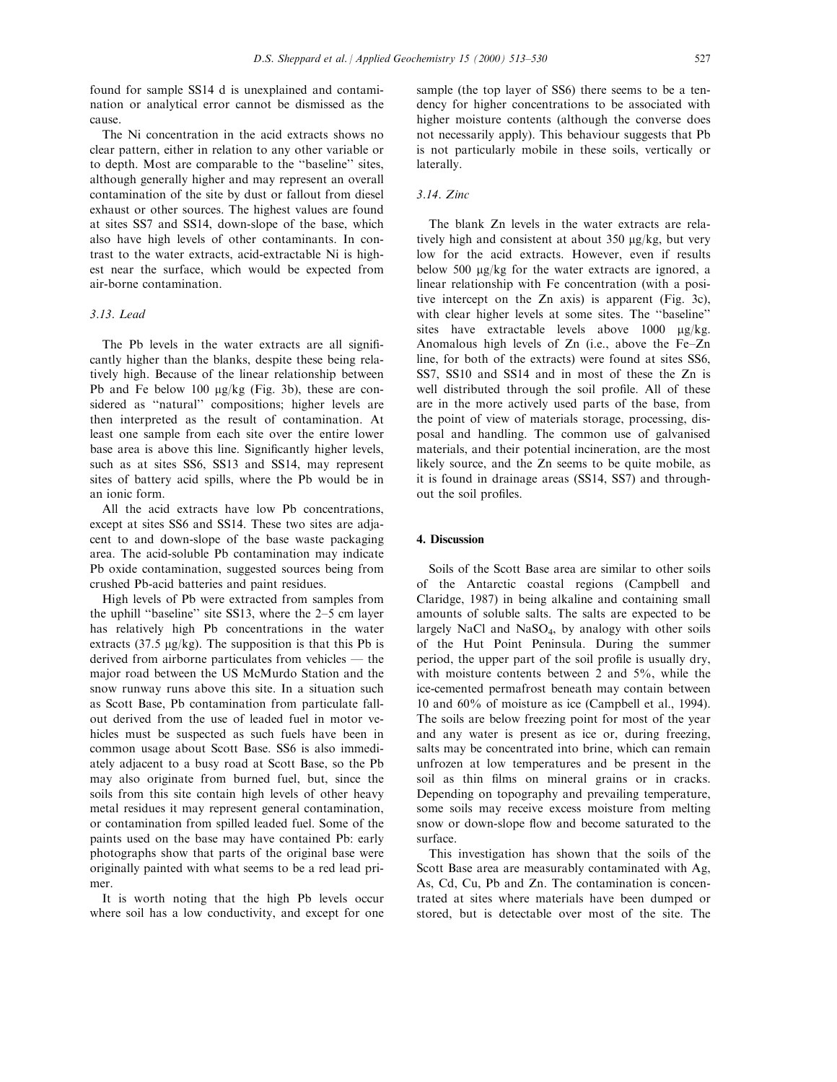found for sample SS14 d is unexplained and contamination or analytical error cannot be dismissed as the cause.

The Ni concentration in the acid extracts shows no clear pattern, either in relation to any other variable or to depth. Most are comparable to the "baseline" sites, although generally higher and may represent an overall contamination of the site by dust or fallout from diesel exhaust or other sources. The highest values are found at sites SS7 and SS14, down-slope of the base, which also have high levels of other contaminants. In contrast to the water extracts, acid-extractable Ni is highest near the surface, which would be expected from air-borne contamination.

# 3.13. Lead

The Pb levels in the water extracts are all significantly higher than the blanks, despite these being relatively high. Because of the linear relationship between Pb and Fe below 100 mg/kg (Fig. 3b), these are considered as "natural" compositions; higher levels are then interpreted as the result of contamination. At least one sample from each site over the entire lower base area is above this line. Significantly higher levels, such as at sites SS6, SS13 and SS14, may represent sites of battery acid spills, where the Pb would be in an ionic form.

All the acid extracts have low Pb concentrations, except at sites SS6 and SS14. These two sites are adjacent to and down-slope of the base waste packaging area. The acid-soluble Pb contamination may indicate Pb oxide contamination, suggested sources being from crushed Pb-acid batteries and paint residues.

High levels of Pb were extracted from samples from the uphill "baseline" site SS13, where the  $2-5$  cm layer has relatively high Pb concentrations in the water extracts (37.5  $\mu$ g/kg). The supposition is that this Pb is derived from airborne particulates from vehicles  $-$  the major road between the US McMurdo Station and the snow runway runs above this site. In a situation such as Scott Base, Pb contamination from particulate fallout derived from the use of leaded fuel in motor vehicles must be suspected as such fuels have been in common usage about Scott Base. SS6 is also immediately adjacent to a busy road at Scott Base, so the Pb may also originate from burned fuel, but, since the soils from this site contain high levels of other heavy metal residues it may represent general contamination, or contamination from spilled leaded fuel. Some of the paints used on the base may have contained Pb: early photographs show that parts of the original base were originally painted with what seems to be a red lead primer.

It is worth noting that the high Pb levels occur where soil has a low conductivity, and except for one

sample (the top layer of SS6) there seems to be a tendency for higher concentrations to be associated with higher moisture contents (although the converse does not necessarily apply). This behaviour suggests that Pb is not particularly mobile in these soils, vertically or laterally.

## 3.14. Zinc

The blank Zn levels in the water extracts are relatively high and consistent at about 350 µg/kg, but very low for the acid extracts. However, even if results below 500 mg/kg for the water extracts are ignored, a linear relationship with Fe concentration (with a positive intercept on the Zn axis) is apparent (Fig. 3c), with clear higher levels at some sites. The "baseline" sites have extractable levels above  $1000 \mu g/kg$ . Anomalous high levels of  $Zn$  (i.e., above the Fe-Zn line, for both of the extracts) were found at sites SS6, SS7, SS10 and SS14 and in most of these the Zn is well distributed through the soil profile. All of these are in the more actively used parts of the base, from the point of view of materials storage, processing, disposal and handling. The common use of galvanised materials, and their potential incineration, are the most likely source, and the Zn seems to be quite mobile, as it is found in drainage areas (SS14, SS7) and throughout the soil profiles.

## 4. Discussion

Soils of the Scott Base area are similar to other soils of the Antarctic coastal regions (Campbell and Claridge, 1987) in being alkaline and containing small amounts of soluble salts. The salts are expected to be largely NaCl and NaSO4, by analogy with other soils of the Hut Point Peninsula. During the summer period, the upper part of the soil profile is usually dry, with moisture contents between 2 and 5%, while the ice-cemented permafrost beneath may contain between 10 and 60% of moisture as ice (Campbell et al., 1994). The soils are below freezing point for most of the year and any water is present as ice or, during freezing, salts may be concentrated into brine, which can remain unfrozen at low temperatures and be present in the soil as thin films on mineral grains or in cracks. Depending on topography and prevailing temperature, some soils may receive excess moisture from melting snow or down-slope flow and become saturated to the surface.

This investigation has shown that the soils of the Scott Base area are measurably contaminated with Ag, As, Cd, Cu, Pb and Zn. The contamination is concentrated at sites where materials have been dumped or stored, but is detectable over most of the site. The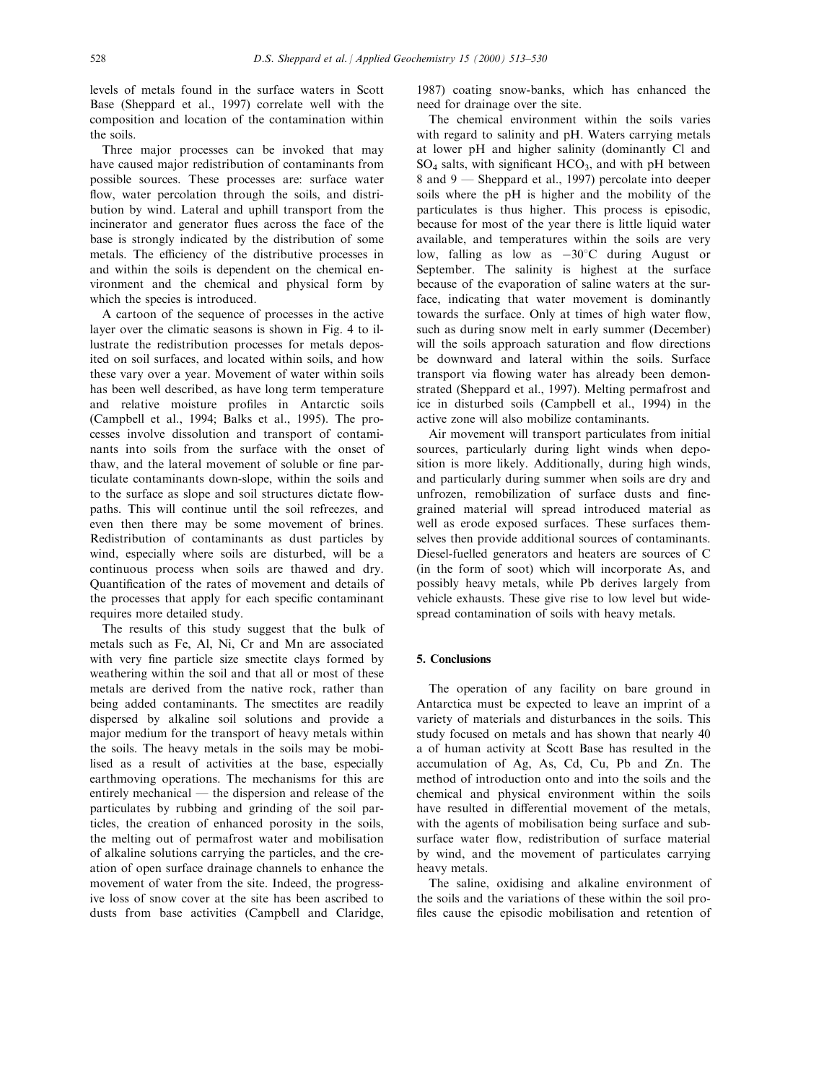levels of metals found in the surface waters in Scott Base (Sheppard et al., 1997) correlate well with the composition and location of the contamination within the soils.

Three major processes can be invoked that may have caused major redistribution of contaminants from possible sources. These processes are: surface water flow, water percolation through the soils, and distribution by wind. Lateral and uphill transport from the incinerator and generator flues across the face of the base is strongly indicated by the distribution of some metals. The efficiency of the distributive processes in and within the soils is dependent on the chemical environment and the chemical and physical form by which the species is introduced.

A cartoon of the sequence of processes in the active layer over the climatic seasons is shown in Fig. 4 to illustrate the redistribution processes for metals deposited on soil surfaces, and located within soils, and how these vary over a year. Movement of water within soils has been well described, as have long term temperature and relative moisture profiles in Antarctic soils (Campbell et al., 1994; Balks et al., 1995). The processes involve dissolution and transport of contaminants into soils from the surface with the onset of thaw, and the lateral movement of soluble or fine particulate contaminants down-slope, within the soils and to the surface as slope and soil structures dictate flowpaths. This will continue until the soil refreezes, and even then there may be some movement of brines. Redistribution of contaminants as dust particles by wind, especially where soils are disturbed, will be a continuous process when soils are thawed and dry. Quantification of the rates of movement and details of the processes that apply for each specific contaminant requires more detailed study.

The results of this study suggest that the bulk of metals such as Fe, Al, Ni, Cr and Mn are associated with very fine particle size smectite clays formed by weathering within the soil and that all or most of these metals are derived from the native rock, rather than being added contaminants. The smectites are readily dispersed by alkaline soil solutions and provide a major medium for the transport of heavy metals within the soils. The heavy metals in the soils may be mobilised as a result of activities at the base, especially earthmoving operations. The mechanisms for this are entirely mechanical  $-$  the dispersion and release of the particulates by rubbing and grinding of the soil particles, the creation of enhanced porosity in the soils, the melting out of permafrost water and mobilisation of alkaline solutions carrying the particles, and the creation of open surface drainage channels to enhance the movement of water from the site. Indeed, the progressive loss of snow cover at the site has been ascribed to dusts from base activities (Campbell and Claridge,

1987) coating snow-banks, which has enhanced the need for drainage over the site.

The chemical environment within the soils varies with regard to salinity and pH. Waters carrying metals at lower pH and higher salinity (dominantly Cl and  $SO_4$  salts, with significant  $HCO_3$ , and with pH between 8 and 9 – Sheppard et al., 1997) percolate into deeper soils where the pH is higher and the mobility of the particulates is thus higher. This process is episodic, because for most of the year there is little liquid water available, and temperatures within the soils are very low, falling as low as  $-30^{\circ}$ C during August or September. The salinity is highest at the surface because of the evaporation of saline waters at the surface, indicating that water movement is dominantly towards the surface. Only at times of high water flow, such as during snow melt in early summer (December) will the soils approach saturation and flow directions be downward and lateral within the soils. Surface transport via flowing water has already been demonstrated (Sheppard et al., 1997). Melting permafrost and ice in disturbed soils (Campbell et al., 1994) in the active zone will also mobilize contaminants.

Air movement will transport particulates from initial sources, particularly during light winds when deposition is more likely. Additionally, during high winds, and particularly during summer when soils are dry and unfrozen, remobilization of surface dusts and finegrained material will spread introduced material as well as erode exposed surfaces. These surfaces themselves then provide additional sources of contaminants. Diesel-fuelled generators and heaters are sources of C (in the form of soot) which will incorporate As, and possibly heavy metals, while Pb derives largely from vehicle exhausts. These give rise to low level but widespread contamination of soils with heavy metals.

#### 5. Conclusions

The operation of any facility on bare ground in Antarctica must be expected to leave an imprint of a variety of materials and disturbances in the soils. This study focused on metals and has shown that nearly 40 a of human activity at Scott Base has resulted in the accumulation of Ag, As, Cd, Cu, Pb and Zn. The method of introduction onto and into the soils and the chemical and physical environment within the soils have resulted in differential movement of the metals, with the agents of mobilisation being surface and subsurface water flow, redistribution of surface material by wind, and the movement of particulates carrying heavy metals.

The saline, oxidising and alkaline environment of the soils and the variations of these within the soil pro files cause the episodic mobilisation and retention of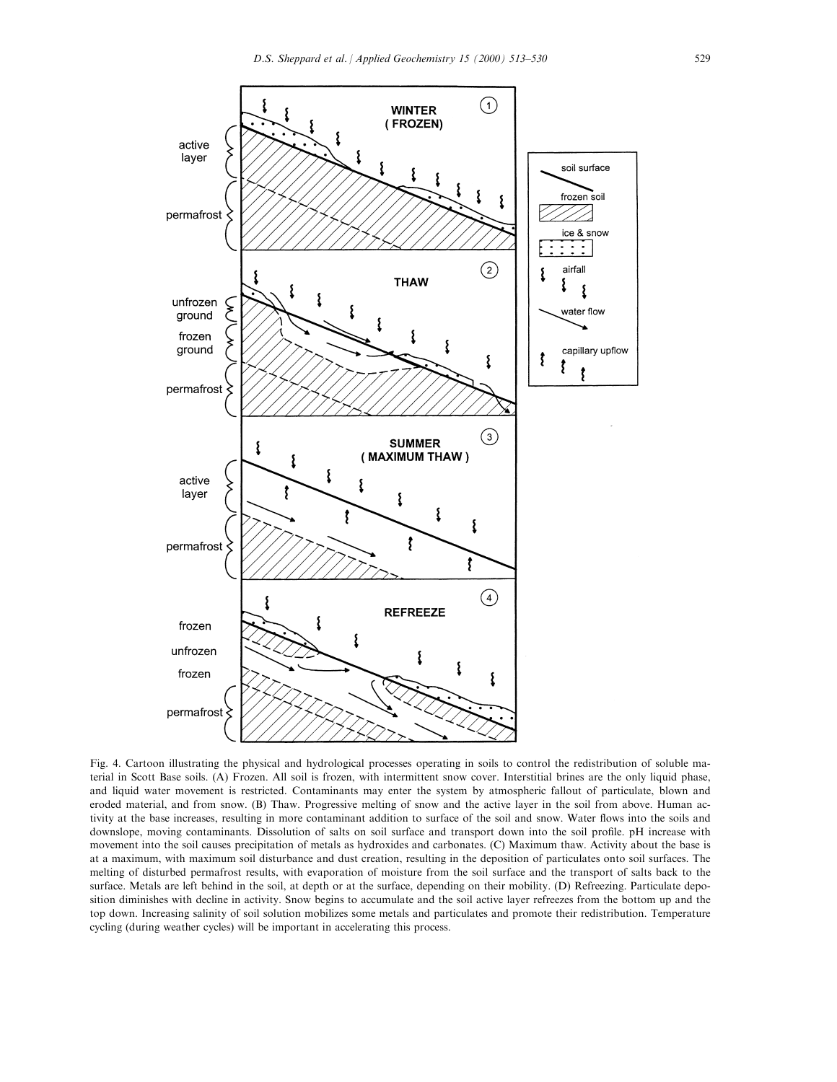

Fig. 4. Cartoon illustrating the physical and hydrological processes operating in soils to control the redistribution of soluble material in Scott Base soils. (A) Frozen. All soil is frozen, with intermittent snow cover. Interstitial brines are the only liquid phase, and liquid water movement is restricted. Contaminants may enter the system by atmospheric fallout of particulate, blown and eroded material, and from snow. (B) Thaw. Progressive melting of snow and the active layer in the soil from above. Human activity at the base increases, resulting in more contaminant addition to surface of the soil and snow. Water flows into the soils and downslope, moving contaminants. Dissolution of salts on soil surface and transport down into the soil profile. pH increase with movement into the soil causes precipitation of metals as hydroxides and carbonates. (C) Maximum thaw. Activity about the base is at a maximum, with maximum soil disturbance and dust creation, resulting in the deposition of particulates onto soil surfaces. The melting of disturbed permafrost results, with evaporation of moisture from the soil surface and the transport of salts back to the surface. Metals are left behind in the soil, at depth or at the surface, depending on their mobility. (D) Refreezing. Particulate deposition diminishes with decline in activity. Snow begins to accumulate and the soil active layer refreezes from the bottom up and the top down. Increasing salinity of soil solution mobilizes some metals and particulates and promote their redistribution. Temperature cycling (during weather cycles) will be important in accelerating this process.